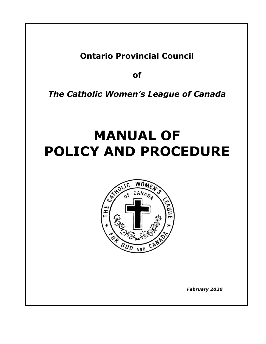## **Ontario Provincial Council**

**of**

*The Catholic Women's League of Canada*

# **MANUAL OF POLICY AND PROCEDURE**



 *February 2020*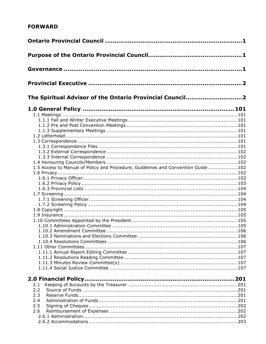### **FORWARD**

| The Spiritual Advisor of the Ontario Provincial Council2                         |  |
|----------------------------------------------------------------------------------|--|
|                                                                                  |  |
|                                                                                  |  |
|                                                                                  |  |
|                                                                                  |  |
|                                                                                  |  |
|                                                                                  |  |
|                                                                                  |  |
|                                                                                  |  |
|                                                                                  |  |
|                                                                                  |  |
|                                                                                  |  |
| 1.5 Access to Manual of Policy and Procedure, Guidelines and Convention Guide102 |  |
|                                                                                  |  |
|                                                                                  |  |
|                                                                                  |  |
|                                                                                  |  |
|                                                                                  |  |
|                                                                                  |  |
|                                                                                  |  |
|                                                                                  |  |
|                                                                                  |  |
|                                                                                  |  |
|                                                                                  |  |
|                                                                                  |  |
|                                                                                  |  |
|                                                                                  |  |
|                                                                                  |  |
|                                                                                  |  |
|                                                                                  |  |
|                                                                                  |  |
|                                                                                  |  |
|                                                                                  |  |
|                                                                                  |  |
| 2.1                                                                              |  |
| 2.2                                                                              |  |
| 2.3                                                                              |  |
| 2.4                                                                              |  |
| 2.5                                                                              |  |
| 2.6                                                                              |  |
|                                                                                  |  |
|                                                                                  |  |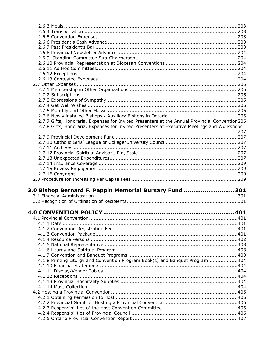| 2.7.7 Gifts, Honoraria, Expenses for Invited Presenters at the Annual Provincial Convention206 |      |
|------------------------------------------------------------------------------------------------|------|
| 2.7.8 Gifts, Honoraria, Expenses for Invited Presenters at Executive Meetings and Workshops    |      |
|                                                                                                |      |
|                                                                                                |      |
|                                                                                                |      |
|                                                                                                |      |
|                                                                                                |      |
|                                                                                                |      |
|                                                                                                |      |
|                                                                                                |      |
|                                                                                                |      |
|                                                                                                |      |
|                                                                                                |      |
|                                                                                                |      |
| 3.0 Bishop Bernard F. Pappin Memorial Bursary Fund 301                                         |      |
|                                                                                                |      |
|                                                                                                |      |
|                                                                                                |      |
|                                                                                                |      |
| 4.1 Provincial Convention                                                                      |      |
|                                                                                                |      |
|                                                                                                |      |
|                                                                                                |      |
|                                                                                                |      |
|                                                                                                |      |
|                                                                                                |      |
|                                                                                                |      |
| 4.1.8 Printing Liturgy and Convention Program Book(s) and Banquet Program 404                  |      |
|                                                                                                |      |
|                                                                                                |      |
|                                                                                                |      |
|                                                                                                |      |
|                                                                                                |      |
|                                                                                                |      |
|                                                                                                | .401 |
|                                                                                                |      |
|                                                                                                |      |
|                                                                                                |      |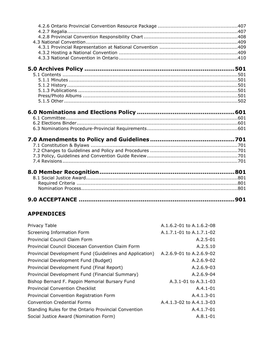## **APPENDICES**

| Privacy Table                                            | $A.1.6.2 - 01$ to $A.1.6.2 - 08$ |
|----------------------------------------------------------|----------------------------------|
| Screening Information Form                               | A.1.7.1-01 to A.1.7.1-02         |
| Provincial Council Claim Form                            | $A.2.5 - 01$                     |
| Provincial Council Diocesan Convention Claim Form        | A.2.5.10                         |
| Provincial Development Fund (Guidelines and Application) | A.2.6.9-01 to A.2.6.9-02         |
| Provincial Development Fund (Budget)                     | A.2.6.9-02                       |
| Provincial Development Fund (Final Report)               | A.2.6.9-03                       |
| Provincial Development Fund (Financial Summary)          | $A.2.6.9-04$                     |
| Bishop Bernard F. Pappin Memorial Bursary Fund           | $A.3.1 - 01$ to $A.3.1 - 03$     |
| <b>Provincial Convention Checklist</b>                   | $A.4.1 - 01$                     |
| Provincial Convention Registration Form                  | $A.4.1.3 - 01$                   |
| <b>Convention Credential Forms</b>                       | $A.4.1.3-02$ to $A.4.1.3-03$     |
| Standing Rules for the Ontario Provincial Convention     | $A.4.1.7 - 01$                   |
| Social Justice Award (Nomination Form)                   | $A.8.1 - 01$                     |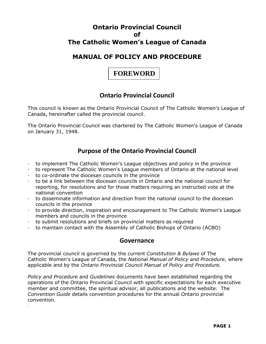## **Ontario Provincial Council of The Catholic Women's League of Canada**

## **MANUAL OF POLICY AND PROCEDURE**

## **FOREWORD**

## **Ontario Provincial Council**

This council is known as the Ontario Provincial Council of The Catholic Women's League of Canada, hereinafter called the provincial council.

The Ontario Provincial Council was chartered by The Catholic Women's League of Canada on January 31, 1948.

## **Purpose of the Ontario Provincial Council**

- · to implement The Catholic Women's League objectives and policy in the province
- · to represent The Catholic Women's League members of Ontario at the national level
- · to co-ordinate the diocesan councils in the province

-

- · to be a link between the diocesan councils in Ontario and the national council for reporting, for resolutions and for those matters requiring an instructed vote at the national convention
- · to disseminate information and direction from the national council to the diocesan councils in the province
- · to provide direction, inspiration and encouragement to The Catholic Women's League members and councils in the province
- · to submit resolutions and briefs on provincial matters as required
- · to maintain contact with the Assembly of Catholic Bishops of Ontario (ACBO)

### **Governance**

The provincial council is governed by the current *Constitution & Bylaws* of The Catholic Women's League of Canada, the *National Manual of Policy and Procedure*, where applicable and by the *Ontario Provincial Council Manual of Policy and Procedure.*

*Policy and Procedure* and *Guidelines* documents have been established regarding the operations of the Ontario Provincial Council with specific expectations for each executive member and committee, the spiritual advisor, all publications and the website. The *Convention Guide* details convention procedures for the annual Ontario provincial convention.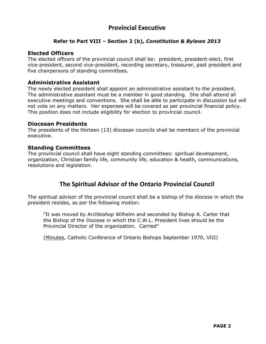## **Provincial Executive**

#### **Refer to Part VIII – Section 2 (b),** *Constitution & Bylaws 2013*

#### **Elected Officers**

The elected officers of the provincial council shall be: president, president-elect, first vice-president, second vice-president, recording secretary, treasurer, past president and five chairpersons of standing committees.

#### **Administrative Assistant**

The newly elected president shall appoint an administrative assistant to the president. The administrative assistant must be a member in good standing. She shall attend all executive meetings and conventions. She shall be able to participate in discussion but will not vote on any matters. Her expenses will be covered as per provincial financial policy. This position does not include eligibility for election to provincial council.

#### **Diocesan Presidents**

The presidents of the thirteen (13) diocesan councils shall be members of the provincial executive.

#### **Standing Committees**

The provincial council shall have eight standing committees: spiritual development, organization, Christian family life, community life, education & health, communications, resolutions and legislation.

## **The Spiritual Advisor of the Ontario Provincial Council**

The spiritual advisor of the provincial council shall be a bishop of the diocese in which the president resides, as per the following motion:

"It was moved by Archbishop Wilhelm and seconded by Bishop A. Carter that the Bishop of the Diocese in which the C.W.L. President lives should be the Provincial Director of the organization. Carried"

(Minutes, Catholic Conference of Ontario Bishops September 1970, VIII)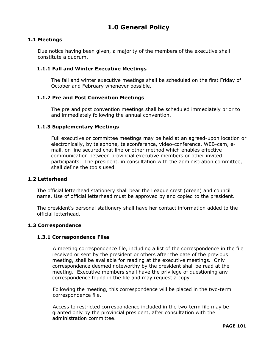## **1.0 General Policy**

#### **1.1 Meetings**

 Due notice having been given, a majority of the members of the executive shall constitute a quorum.

#### **1.1.1 Fall and Winter Executive Meetings**

The fall and winter executive meetings shall be scheduled on the first Friday of October and February whenever possible.

#### **1.1.2 Pre and Post Convention Meetings**

The pre and post convention meetings shall be scheduled immediately prior to and immediately following the annual convention.

#### **1.1.3 Supplementary Meetings**

Full executive or committee meetings may be held at an agreed-upon location or electronically, by telephone, teleconference, video-conference, WEB-cam, email, on line secured chat line or other method which enables effective communication between provincial executive members or other invited participants. The president, in consultation with the administration committee, shall define the tools used.

#### **1.2 Letterhead**

The official letterhead stationery shall bear the League crest (green) and council name. Use of official letterhead must be approved by and copied to the president.

The president's personal stationery shall have her contact information added to the official letterhead.

#### **1.3 Correspondence**

#### **1.3.1 Correspondence Files**

A meeting correspondence file, including a list of the correspondence in the file received or sent by the president or others after the date of the previous meeting, shall be available for reading at the executive meetings. Only correspondence deemed noteworthy by the president shall be read at the meeting. Executive members shall have the privilege of questioning any correspondence found in the file and may request a copy.

Following the meeting, this correspondence will be placed in the two-term correspondence file.

Access to restricted correspondence included in the two-term file may be granted only by the provincial president, after consultation with the administration committee.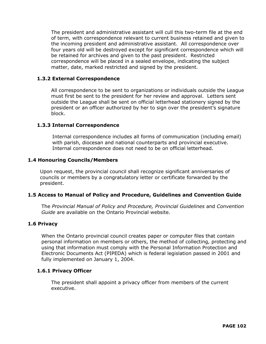The president and administrative assistant will cull this two-term file at the end of term, with correspondence relevant to current business retained and given to the incoming president and administrative assistant. All correspondence over four years old will be destroyed except for significant correspondence which will be retained for archives and given to the past president. Restricted correspondence will be placed in a sealed envelope, indicating the subject matter, date, marked restricted and signed by the president.

#### **1.3.2 External Correspondence**

All correspondence to be sent to organizations or individuals outside the League must first be sent to the president for her review and approval. Letters sent outside the League shall be sent on official letterhead stationery signed by the president or an officer authorized by her to sign over the president's signature block.

#### **1.3.3 Internal Correspondence**

Internal correspondence includes all forms of communication (including email) with parish, diocesan and national counterparts and provincial executive. Internal correspondence does not need to be on official letterhead.

#### **1.4 Honouring Councils/Members**

Upon request, the provincial council shall recognize significant anniversaries of councils or members by a congratulatory letter or certificate forwarded by the president.

#### **1.5 Access to Manual of Policy and Procedure, Guidelines and Convention Guide**

The *Provincial Manual of Policy and Procedure, Provincial Guidelines* and *Convention Guide* are available on the Ontario Provincial website.

#### **1.6 Privacy**

When the Ontario provincial council creates paper or computer files that contain personal information on members or others, the method of collecting, protecting and using that information must comply with the Personal Information Protection and Electronic Documents Act (PIPEDA) which is federal legislation passed in 2001 and fully implemented on January 1, 2004.

#### **1.6.1 Privacy Officer**

The president shall appoint a privacy officer from members of the current executive.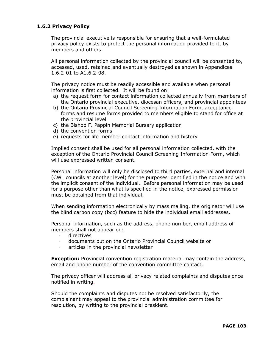#### **1.6.2 Privacy Policy**

The provincial executive is responsible for ensuring that a well-formulated privacy policy exists to protect the personal information provided to it, by members and others.

All personal information collected by the provincial council will be consented to, accessed, used, retained and eventually destroyed as shown in Appendices 1.6.2-01 to A1.6.2-08.

The privacy notice must be readily accessible and available when personal information is first collected. It will be found on:

- a) the request form for contact information collected annually from members of the Ontario provincial executive, diocesan officers, and provincial appointees
- b) the Ontario Provincial Council Screening Information Form, acceptance forms and resume forms provided to members eligible to stand for office at the provincial level
- c) the Bishop F. Pappin Memorial Bursary application
- d) the convention forms
- e) requests for life member contact information and history

Implied consent shall be used for all personal information collected, with the exception of the Ontario Provincial Council Screening Information Form, which will use expressed written consent.

Personal information will only be disclosed to third parties, external and internal (CWL councils at another level) for the purposes identified in the notice and with the implicit consent of the individual. Before personal information may be used for a purpose other than what is specified in the notice, expressed permission must be obtained from that individual.

When sending information electronically by mass mailing, the originator will use the blind carbon copy (bcc) feature to hide the individual email addresses.

Personal information, such as the address, phone number, email address of members shall not appear on:

- · directives
- documents put on the Ontario Provincial Council website or
- articles in the provincial newsletter

**Exception:** Provincial convention registration material may contain the address, email and phone number of the convention committee contact.

The privacy officer will address all privacy related complaints and disputes once notified in writing.

Should the complaints and disputes not be resolved satisfactorily, the complainant may appeal to the provincial administration committee for resolution**,** by writing to the provincial president.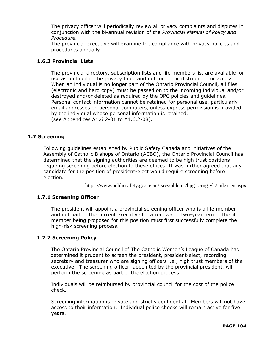The privacy officer will periodically review all privacy complaints and disputes in conjunction with the bi-annual revision of the *Provincial Manual of Policy and Procedure.*

The provincial executive will examine the compliance with privacy policies and procedures annually.

#### **1.6.3 Provincial Lists**

The provincial directory, subscription lists and life members list are available for use as outlined in the privacy table and not for public distribution or access. When an individual is no longer part of the Ontario Provincial Council, all files (electronic and hard copy) must be passed on to the incoming individual and/or destroyed and/or deleted as required by the OPC policies and guidelines. Personal contact information cannot be retained for personal use, particularly email addresses on personal computers, unless express permission is provided by the individual whose personal information is retained. (see Appendices A1.6.2-01 to A1.6.2-08).

#### **1.7 Screening**

Following guidelines established by Public Safety Canada and initiatives of the Assembly of Catholic Bishops of Ontario (ACBO), the Ontario Provincial Council has determined that the signing authorities are deemed to be high trust positions requiring screening before election to these offices. It was further agreed that any candidate for the position of president-elect would require screening before election.

https://www.publicsafety.gc.ca/cnt/rsrcs/pblctns/bpg-scrng-vls/index-en.aspx

#### **1.7.1 Screening Officer**

The president will appoint a provincial screening officer who is a life member and not part of the current executive for a renewable two-year term. The life member being proposed for this position must first successfully complete the high-risk screening process.

#### **1.7.2 Screening Policy**

The Ontario Provincial Council of The Catholic Women's League of Canada has determined it prudent to screen the president, president-elect, recording secretary and treasurer who are signing officers i.e., high trust members of the executive. The screening officer, appointed by the provincial president, will perform the screening as part of the election process.

Individuals will be reimbursed by provincial council for the cost of the police check**.**

Screening information is private and strictly confidential. Members will not have access to their information. Individual police checks will remain active for five years.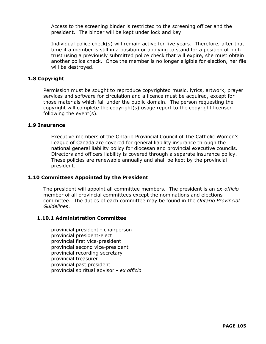Access to the screening binder is restricted to the screening officer and the president. The binder will be kept under lock and key.

Individual police check(s) will remain active for five years. Therefore, after that time if a member is still in a position or applying to stand for a position of high trust using a previously submitted police check that will expire, she must obtain another police check. Once the member is no longer eligible for election, her file will be destroyed.

#### **1.8 Copyright**

Permission must be sought to reproduce copyrighted music, lyrics, artwork, prayer services and software for circulation and a licence must be acquired, except for those materials which fall under the public domain. The person requesting the copyright will complete the copyright(s) usage report to the copyright licenser following the event(s).

#### **1.9 Insurance**

Executive members of the Ontario Provincial Council of The Catholic Women's League of Canada are covered for general liability insurance through the national general liability policy for diocesan and provincial executive councils. Directors and officers liability is covered through a separate insurance policy. These policies are renewable annually and shall be kept by the provincial president.

#### **1.10 Committees Appointed by the President**

The president will appoint all committee members. The president is an *ex-officio*  member of all provincial committees except the nominations and elections committee. The duties of each committee may be found in the *Ontario Provincial Guidelines*.

#### **1.10.1 Administration Committee**

provincial president - chairperson provincial president-elect provincial first vice-president provincial second vice-president provincial recording secretary provincial treasurer provincial past president provincial spiritual advisor - *ex officio*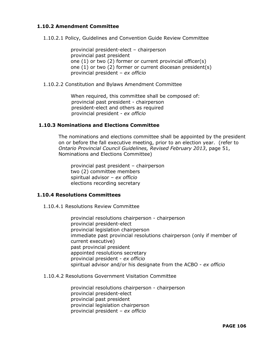#### **1.10.2 Amendment Committee**

1.10.2.1 Policy, Guidelines and Convention Guide Review Committee

provincial president-elect – chairperson provincial past president one (1) or two (2) former or current provincial officer(s) one (1) or two (2) former or current diocesan president(s) provincial president – *ex officio*

1.10.2.2 Constitution and Bylaws Amendment Committee

When required, this committee shall be composed of: provincial past president - chairperson president-elect and others as required provincial president - *ex officio*

#### **1.10.3 Nominations and Elections Committee**

The nominations and elections committee shall be appointed by the president on or before the fall executive meeting, prior to an election year. (refer to *Ontario Provincial Council Guidelines, Revised February 2013*, page 51, Nominations and Elections Committee)

provincial past president – chairperson two (2) committee members spiritual advisor – *ex officio* elections recording secretary

#### **1.10.4 Resolutions Committees**

1.10.4.1 Resolutions Review Committee

provincial resolutions chairperson - chairperson provincial president-elect provincial legislation chairperson immediate past provincial resolutions chairperson (only if member of current executive) past provincial president appointed resolutions secretary provincial president - *ex officio* spiritual advisor and/or his designate from the ACBO - *ex officio*

1.10.4.2 Resolutions Government Visitation Committee

provincial resolutions chairperson - chairperson provincial president-elect provincial past president provincial legislation chairperson provincial president – *ex officio*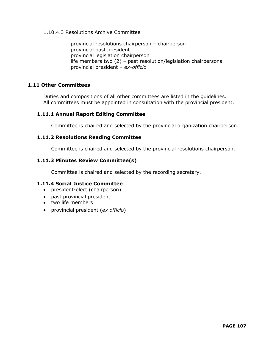#### 1.10.4.3 Resolutions Archive Committee

provincial resolutions chairperson – chairperson provincial past president provincial legislation chairperson life members two (2) – past resolution/legislation chairpersons provincial president – *ex-officio*

#### **1.11 Other Committees**

Duties and compositions of all other committees are listed in the guidelines. All committees must be appointed in consultation with the provincial president.

#### **1.11.1 Annual Report Editing Committee**

Committee is chaired and selected by the provincial organization chairperson.

#### **1.11.2 Resolutions Reading Committee**

Committee is chaired and selected by the provincial resolutions chairperson.

#### **1.11.3 Minutes Review Committee(s)**

Committee is chaired and selected by the recording secretary.

#### **1.11.4 Social Justice Committee**

- president-elect (chairperson)
- past provincial president
- two life members
- provincial president (*ex officio*)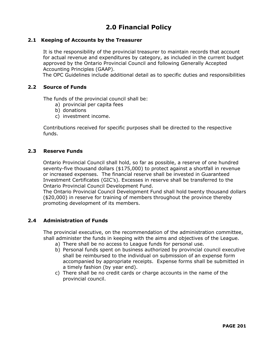## **2.0 Financial Policy**

#### **2.1 Keeping of Accounts by the Treasurer**

It is the responsibility of the provincial treasurer to maintain records that account for actual revenue and expenditures by category, as included in the current budget approved by the Ontario Provincial Council and following Generally Accepted Accounting Principles (GAAP).

The OPC Guidelines include additional detail as to specific duties and responsibilities

#### **2.2 Source of Funds**

The funds of the provincial council shall be:

- a) provincial per capita fees
- b) donations
- c) investment income.

Contributions received for specific purposes shall be directed to the respective funds.

#### **2.3 Reserve Funds**

Ontario Provincial Council shall hold, so far as possible, a reserve of one hundred seventy-five thousand dollars (\$175,000) to protect against a shortfall in revenue or increased expenses. The financial reserve shall be invested in Guaranteed Investment Certificates (GIC's). Excesses in reserve shall be transferred to the Ontario Provincial Council Development Fund.

The Ontario Provincial Council Development Fund shall hold twenty thousand dollars (\$20,000) in reserve for training of members throughout the province thereby promoting development of its members.

#### **2.4 Administration of Funds**

The provincial executive, on the recommendation of the administration committee, shall administer the funds in keeping with the aims and objectives of the League.

- a) There shall be no access to League funds for personal use.
- b) Personal funds spent on business authorized by provincial council executive shall be reimbursed to the individual on submission of an expense form accompanied by appropriate receipts. Expense forms shall be submitted in a timely fashion (by year end).
- c) There shall be no credit cards or charge accounts in the name of the provincial council.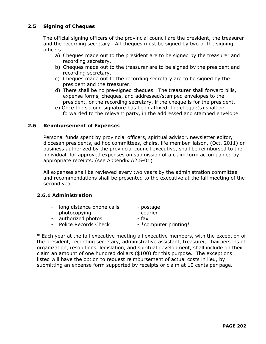#### **2.5 Signing of Cheques**

The official signing officers of the provincial council are the president, the treasurer and the recording secretary. All cheques must be signed by two of the signing officers.

- a) Cheques made out to the president are to be signed by the treasurer and recording secretary.
- b) Cheques made out to the treasurer are to be signed by the president and recording secretary.
- c) Cheques made out to the recording secretary are to be signed by the president and the treasurer.
- d) There shall be no pre-signed cheques. The treasurer shall forward bills, expense forms, cheques, and addressed/stamped envelopes to the president, or the recording secretary, if the cheque is for the president.
- e) Once the second signature has been affixed, the cheque(s) shall be forwarded to the relevant party, in the addressed and stamped envelope.

#### **2.6 Reimbursement of Expenses**

Personal funds spent by provincial officers, spiritual advisor, newsletter editor, diocesan presidents, ad hoc committees, chairs, life member liaison, (Oct. 2011) on business authorized by the provincial council executive, shall be reimbursed to the individual, for approved expenses on submission of a claim form accompanied by appropriate receipts. (see Appendix A2.5-01)

All expenses shall be reviewed every two years by the administration committee and recommendations shall be presented to the executive at the fall meeting of the second year.

#### **2.6.1 Administration**

- long distance phone calls postage
- photocopying courier
- 
- authorized photos fax
- Police Records Check \*computer printing -
- 

\* Each year at the fall executive meeting all executive members, with the exception of the president, recording secretary, administrative assistant, treasurer, chairpersons of organization, resolutions, legislation, and spiritual development, shall include on their claim an amount of one hundred dollars (\$100) for this purpose. The exceptions listed will have the option to request reimbursement of actual costs in lieu, by submitting an expense form supported by receipts or claim at 10 cents per page.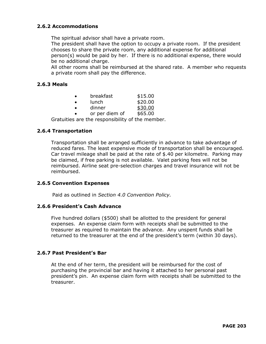#### **2.6.2 Accommodations**

The spiritual advisor shall have a private room.

The president shall have the option to occupy a private room. If the president chooses to share the private room, any additional expense for additional person(s) would be paid by her. If there is no additional expense, there would be no additional charge.

All other rooms shall be reimbursed at the shared rate. A member who requests a private room shall pay the difference.

#### **2.6.3 Meals**

|           | breakfast      | \$15.00 |
|-----------|----------------|---------|
| $\bullet$ | lunch          | \$20.00 |
|           | dinner         | \$30.00 |
|           | or per diem of | \$65.00 |

Gratuities are the responsibility of the member.

#### **2.6.4 Transportation**

Transportation shall be arranged sufficiently in advance to take advantage of reduced fares. The least expensive mode of transportation shall be encouraged. Car travel mileage shall be paid at the rate of \$.40 per kilometre. Parking may be claimed, if free parking is not available. Valet parking fees will not be reimbursed. Airline seat pre-selection charges and travel insurance will not be reimbursed.

#### **2.6.5 Convention Expenses**

Paid as outlined in *Section 4.0 Convention Policy.*

#### **2.6.6 President's Cash Advance**

Five hundred dollars (\$500) shall be allotted to the president for general expenses. An expense claim form with receipts shall be submitted to the treasurer as required to maintain the advance. Any unspent funds shall be returned to the treasurer at the end of the president's term (within 30 days).

#### **2.6.7 Past President's Bar**

At the end of her term, the president will be reimbursed for the cost of purchasing the provincial bar and having it attached to her personal past president's pin. An expense claim form with receipts shall be submitted to the treasurer.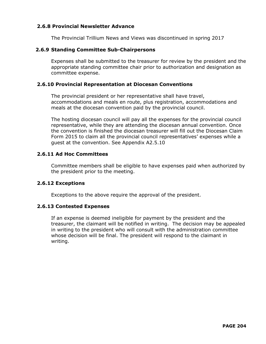#### **2.6.8 Provincial Newsletter Advance**

The Provincial Trillium News and Views was discontinued in spring 2017

#### **2.6.9 Standing Committee Sub-Chairpersons**

Expenses shall be submitted to the treasurer for review by the president and the appropriate standing committee chair prior to authorization and designation as committee expense.

#### **2.6.10 Provincial Representation at Diocesan Conventions**

The provincial president or her representative shall have travel, accommodations and meals en route, plus registration, accommodations and meals at the diocesan convention paid by the provincial council.

The hosting diocesan council will pay all the expenses for the provincial council representative, while they are attending the diocesan annual convention. Once the convention is finished the diocesan treasurer will fill out the Diocesan Claim Form 2015 to claim all the provincial council representatives' expenses while a guest at the convention. See Appendix A2.5.10

#### **2.6.11 Ad Hoc Committees**

Committee members shall be eligible to have expenses paid when authorized by the president prior to the meeting.

#### **2.6.12 Exceptions**

Exceptions to the above require the approval of the president.

#### **2.6.13 Contested Expenses**

If an expense is deemed ineligible for payment by the president and the treasurer, the claimant will be notified in writing. The decision may be appealed in writing to the president who will consult with the administration committee whose decision will be final. The president will respond to the claimant in writing.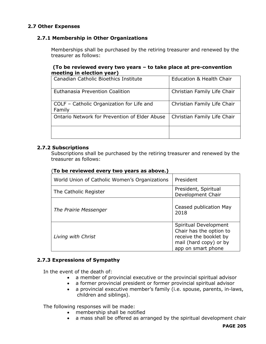#### **2.7 Other Expenses**

#### **2.7.1 Membership in Other Organizations**

Memberships shall be purchased by the retiring treasurer and renewed by the treasurer as follows:

#### **(To be reviewed every two years – to take place at pre-convention meeting in election year)**

| Canadian Catholic Bioethics Institute               | Education & Health Chair    |
|-----------------------------------------------------|-----------------------------|
| Euthanasia Prevention Coalition                     | Christian Family Life Chair |
| COLF - Catholic Organization for Life and<br>Family | Christian Family Life Chair |
| Ontario Network for Prevention of Elder Abuse       | Christian Family Life Chair |
|                                                     |                             |

#### **2.7.2 Subscriptions**

Subscriptions shall be purchased by the retiring treasurer and renewed by the treasurer as follows:

#### (**To be reviewed every two years as above.)**

| World Union of Catholic Women's Organizations | President                                                                                                                  |  |
|-----------------------------------------------|----------------------------------------------------------------------------------------------------------------------------|--|
| The Catholic Register                         | President, Spiritual<br>Development Chair                                                                                  |  |
| The Prairie Messenger                         | Ceased publication May<br>2018                                                                                             |  |
| Living with Christ                            | Spiritual Development<br>Chair has the option to<br>receive the booklet by<br>mail (hard copy) or by<br>app on smart phone |  |

#### **2.7.3 Expressions of Sympathy**

In the event of the death of:

- a member of provincial executive or the provincial spiritual advisor
- a former provincial president or former provincial spiritual advisor
- a provincial executive member's family (i.e. spouse, parents, in-laws, children and siblings).

The following responses will be made:

- membership shall be notified
- a mass shall be offered as arranged by the spiritual development chair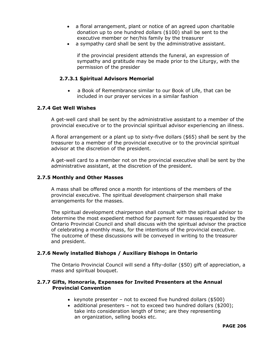- a floral arrangement, plant or notice of an agreed upon charitable donation up to one hundred dollars (\$100) shall be sent to the executive member or her/his family by the treasurer
- a sympathy card shall be sent by the administrative assistant.

if the provincial president attends the funeral, an expression of sympathy and gratitude may be made prior to the Liturgy, with the permission of the presider

#### **2.7.3.1 Spiritual Advisors Memorial**

• a Book of Remembrance similar to our Book of Life, that can be included in our prayer services in a similar fashion

#### **2.7.4 Get Well Wishes**

A get-well card shall be sent by the administrative assistant to a member of the provincial executive or to the provincial spiritual advisor experiencing an illness.

A floral arrangement or a plant up to sixty-five dollars (\$65) shall be sent by the treasurer to a member of the provincial executive or to the provincial spiritual advisor at the discretion of the president.

A get-well card to a member not on the provincial executive shall be sent by the administrative assistant, at the discretion of the president.

#### **2.7.5 Monthly and Other Masses**

A mass shall be offered once a month for intentions of the members of the provincial executive. The spiritual development chairperson shall make arrangements for the masses.

The spiritual development chairperson shall consult with the spiritual advisor to determine the most expedient method for payment for masses requested by the Ontario Provincial Council and shall discuss with the spiritual advisor the practice of celebrating a monthly mass, for the intentions of the provincial executive. The outcome of these discussions will be conveyed in writing to the treasurer and president.

#### **2.7.6 Newly installed Bishops / Auxiliary Bishops in Ontario**

The Ontario Provincial Council will send a fifty-dollar (\$50) gift of appreciation, a mass and spiritual bouquet.

#### **2.7.7 Gifts, Honoraria, Expenses for Invited Presenters at the Annual Provincial Convention**

- keynote presenter not to exceed five hundred dollars (\$500)
- additional presenters not to exceed two hundred dollars (\$200); take into consideration length of time; are they representing an organization, selling books etc.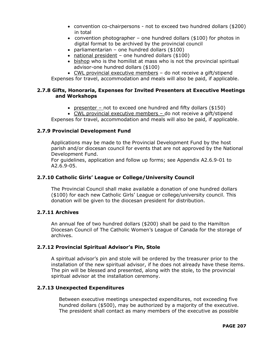- convention co-chairpersons not to exceed two hundred dollars (\$200) in total
- convention photographer one hundred dollars (\$100) for photos in digital format to be archived by the provincial council
- parliamentarian one hundred dollars (\$100)
- national president one hundred dollars (\$100)
- bishop who is the homilist at mass who is not the provincial spiritual advisor-one hundred dollars (\$100)
- CWL provincial executive members do not receive a gift/stipend

Expenses for travel, accommodation and meals will also be paid, if applicable.

#### **2.7.8 Gifts, Honoraria, Expenses for Invited Presenters at Executive Meetings and Workshops**

- presenter not to exceed one hundred and fifty dollars (\$150)
- CWL provincial executive members do not receive a gift/stipend

Expenses for travel, accommodation and meals will also be paid, if applicable.

#### **2.7.9 Provincial Development Fund**

Applications may be made to the Provincial Development Fund by the host parish and/or diocesan council for events that are not approved by the National Development Fund.

For guidelines, application and follow up forms; see Appendix A2.6.9-01 to A2.6.9-05.

#### **2.7.10 Catholic Girls' League or College/University Council**

The Provincial Council shall make available a donation of one hundred dollars (\$100) for each new Catholic Girls' League or college/university council. This donation will be given to the diocesan president for distribution.

#### **2.7.11 Archives**

An annual fee of two hundred dollars (\$200) shall be paid to the Hamilton Diocesan Council of The Catholic Women's League of Canada for the storage of archives.

#### **2.7.12 Provincial Spiritual Advisor's Pin, Stole**

A spiritual advisor's pin and stole will be ordered by the treasurer prior to the installation of the new spiritual advisor, if he does not already have these items. The pin will be blessed and presented, along with the stole, to the provincial spiritual advisor at the installation ceremony.

#### **2.7.13 Unexpected Expenditures**

Between executive meetings unexpected expenditures, not exceeding five hundred dollars (\$500), may be authorized by a majority of the executive. The president shall contact as many members of the executive as possible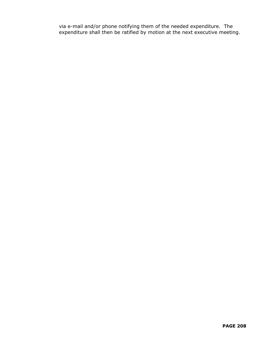via e-mail and/or phone notifying them of the needed expenditure. The expenditure shall then be ratified by motion at the next executive meeting.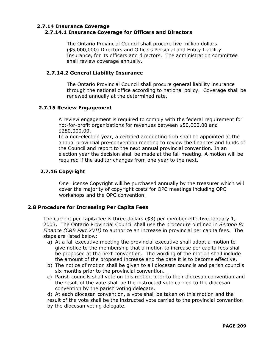#### **2.7.14 Insurance Coverage 2.7.14.1 Insurance Coverage for Officers and Directors**

The Ontario Provincial Council shall procure five million dollars (\$5,000,000) Directors and Officers Personal and Entity Liability Insurance, for its officers and directors. The administration committee shall review coverage annually.

#### **2.7.14.2 General Liability Insurance**

The Ontario Provincial Council shall procure general liability insurance through the national office according to national policy. Coverage shall be renewed annually at the determined rate.

#### **2.7.15 Review Engagement**

A review engagement is required to comply with the federal requirement for not-for-profit organizations for revenues between \$50,000.00 and \$250,000.00.

In a non-election year, a certified accounting firm shall be appointed at the annual provincial pre-convention meeting to review the finances and funds of the Council and report to the next annual provincial convention**.** In an election year the decision shall be made at the fall meeting. A motion will be required if the auditor changes from one year to the next.

#### **2.7.16 Copyright**

One License Copyright will be purchased annually by the treasurer which will cover the majority of copyright costs for OPC meetings including OPC workshops and the OPC convention.

#### **2.8 Procedure for Increasing Per Capita Fees**

The current per capita fee is three dollars (\$3) per member effective January 1, 2003. The Ontario Provincial Council shall use the procedure outlined in *Section 8: Finance (C&B Part XVII)* to authorize an increase in provincial per capita fees. The steps are listed below:

- a) At a fall executive meeting the provincial executive shall adopt a motion to give notice to the membership that a motion to increase per capita fees shall be proposed at the next convention. The wording of the motion shall include the amount of the proposed increase and the date it is to become effective.
- b) The notice of motion shall be given to all diocesan councils and parish councils six months prior to the provincial convention.
- c) Parish councils shall vote on this motion prior to their diocesan convention and the result of the vote shall be the instructed vote carried to the diocesan convention by the parish voting delegate.

d) At each diocesan convention, a vote shall be taken on this motion and the result of the vote shall be the instructed vote carried to the provincial convention by the diocesan voting delegate.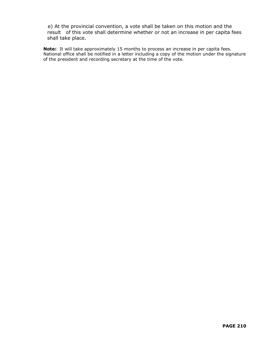e) At the provincial convention, a vote shall be taken on this motion and the result of this vote shall determine whether or not an increase in per capita fees shall take place.

**Note:** It will take approximately 15 months to process an increase in per capita fees. National office shall be notified in a letter including a copy of the motion under the signature of the president and recording secretary at the time of the vote.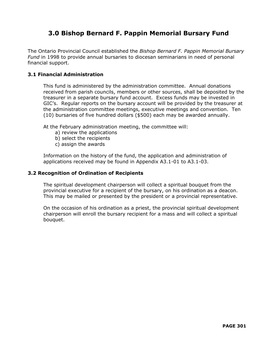## **3.0 Bishop Bernard F. Pappin Memorial Bursary Fund**

The Ontario Provincial Council established the *Bishop Bernard F. Pappin Memorial Bursary Fund* in 1998 to provide annual bursaries to diocesan seminarians in need of personal financial support.

#### **3.1 Financial Administration**

This fund is administered by the administration committee. Annual donations received from parish councils, members or other sources, shall be deposited by the treasurer in a separate bursary fund account. Excess funds may be invested in GIC's. Regular reports on the bursary account will be provided by the treasurer at the administration committee meetings, executive meetings and convention. Ten (10) bursaries of five hundred dollars (\$500) each may be awarded annually.

At the February administration meeting, the committee will:

- a) review the applications
- b) select the recipients
- c) assign the awards

Information on the history of the fund, the application and administration of applications received may be found in Appendix A3.1-01 to A3.1-03.

#### **3.2 Recognition of Ordination of Recipients**

The spiritual development chairperson will collect a spiritual bouquet from the provincial executive for a recipient of the bursary, on his ordination as a deacon. This may be mailed or presented by the president or a provincial representative.

On the occasion of his ordination as a priest, the provincial spiritual development chairperson will enroll the bursary recipient for a mass and will collect a spiritual bouquet.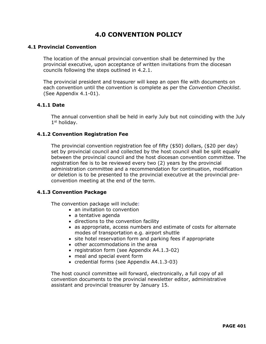## **4.0 CONVENTION POLICY**

#### **4.1 Provincial Convention**

The location of the annual provincial convention shall be determined by the provincial executive, upon acceptance of written invitations from the diocesan councils following the steps outlined in 4.2.1.

The provincial president and treasurer will keep an open file with documents on each convention until the convention is complete as per the *Convention Checklist*. (See Appendix 4.1-01).

#### **4.1.1 Date**

The annual convention shall be held in early July but not coinciding with the July 1st holiday.

#### **4.1.2 Convention Registration Fee**

The provincial convention registration fee of fifty (\$50) dollars, (\$20 per day) set by provincial council and collected by the host council shall be split equally between the provincial council and the host diocesan convention committee. The registration fee is to be reviewed every two (2) years by the provincial administration committee and a recommendation for continuation, modification or deletion is to be presented to the provincial executive at the provincial preconvention meeting at the end of the term.

#### **4.1.3 Convention Package**

The convention package will include:

- an invitation to convention
- a tentative agenda
- directions to the convention facility
- as appropriate, access numbers and estimate of costs for alternate modes of transportation e.g. airport shuttle
- site hotel reservation form and parking fees if appropriate
- other accommodations in the area
- registration form (see Appendix A4.1.3-02)
- meal and special event form
- credential forms (see Appendix A4.1.3-03)

The host council committee will forward, electronically, a full copy of all convention documents to the provincial newsletter editor, administrative assistant and provincial treasurer by January 15.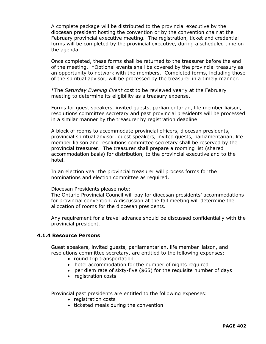A complete package will be distributed to the provincial executive by the diocesan president hosting the convention or by the convention chair at the February provincial executive meeting. The registration, ticket and credential forms will be completed by the provincial executive, during a scheduled time on the agenda.

Once completed, these forms shall be returned to the treasurer before the end of the meeting. \*Optional events shall be covered by the provincial treasury as an opportunity to network with the members. Completed forms, including those of the spiritual advisor, will be processed by the treasurer in a timely manner.

\*The *Saturday Evening Event* cost to be reviewed yearly at the February meeting to determine its eligibility as a treasury expense.

Forms for guest speakers, invited guests, parliamentarian, life member liaison, resolutions committee secretary and past provincial presidents will be processed in a similar manner by the treasurer by registration deadline.

A block of rooms to accommodate provincial officers, diocesan presidents, provincial spiritual advisor, guest speakers, invited guests, parliamentarian, life member liaison and resolutions committee secretary shall be reserved by the provincial treasurer. The treasurer shall prepare a rooming list (shared accommodation basis) for distribution, to the provincial executive and to the hotel.

In an election year the provincial treasurer will process forms for the nominations and election committee as required.

Diocesan Presidents please note:

The Ontario Provincial Council will pay for diocesan presidents' accommodations for provincial convention. A discussion at the fall meeting will determine the allocation of rooms for the diocesan presidents.

Any requirement for a travel advance should be discussed confidentially with the provincial president.

#### **4.1.4 Resource Persons**

Guest speakers, invited guests, parliamentarian, life member liaison, and resolutions committee secretary, are entitled to the following expenses:

- round trip transportation
- hotel accommodation for the number of nights required
- per diem rate of sixty-five (\$65) for the requisite number of days
- registration costs

Provincial past presidents are entitled to the following expenses:

- registration costs
- ticketed meals during the convention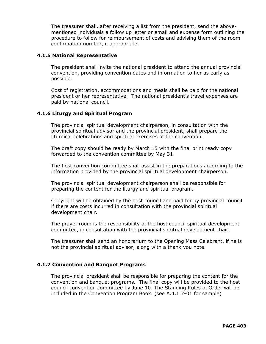The treasurer shall, after receiving a list from the president, send the abovementioned individuals a follow up letter or email and expense form outlining the procedure to follow for reimbursement of costs and advising them of the room confirmation number, if appropriate.

#### **4.1.5 National Representative**

The president shall invite the national president to attend the annual provincial convention, providing convention dates and information to her as early as possible.

Cost of registration, accommodations and meals shall be paid for the national president or her representative. The national president's travel expenses are paid by national council.

#### **4.1.6 Liturgy and Spiritual Program**

The provincial spiritual development chairperson, in consultation with the provincial spiritual advisor and the provincial president, shall prepare the liturgical celebrations and spiritual exercises of the convention.

The draft copy should be ready by March 15 with the final print ready copy forwarded to the convention committee by May 31.

The host convention committee shall assist in the preparations according to the information provided by the provincial spiritual development chairperson.

The provincial spiritual development chairperson shall be responsible for preparing the content for the liturgy and spiritual program.

Copyright will be obtained by the host council and paid for by provincial council if there are costs incurred in consultation with the provincial spiritual development chair.

The prayer room is the responsibility of the host council spiritual development committee, in consultation with the provincial spiritual development chair.

The treasurer shall send an honorarium to the Opening Mass Celebrant, if he is not the provincial spiritual advisor, along with a thank you note.

#### **4.1.7 Convention and Banquet Programs**

The provincial president shall be responsible for preparing the content for the convention and banquet programs. The final copy will be provided to the host council convention committee by June 10. The Standing Rules of Order will be included in the Convention Program Book. (see A.4.1.7-01 for sample)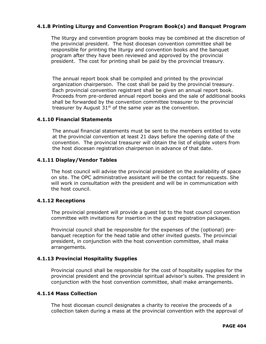#### **4.1.8 Printing Liturgy and Convention Program Book(s) and Banquet Program**

The liturgy and convention program books may be combined at the discretion of the provincial president. The host diocesan convention committee shall be responsible for printing the liturgy and convention books and the banquet program after they have been reviewed and approved by the provincial president. The cost for printing shall be paid by the provincial treasury.

The annual report book shall be compiled and printed by the provincial organization chairperson. The cost shall be paid by the provincial treasury. Each provincial convention registrant shall be given an annual report book. Proceeds from pre-ordered annual report books and the sale of additional books shall be forwarded by the convention committee treasurer to the provincial treasurer by August  $31<sup>st</sup>$  of the same year as the convention.

#### **4.1.10 Financial Statements**

The annual financial statements must be sent to the members entitled to vote at the provincial convention at least 21 days before the opening date of the convention. The provincial treasurer will obtain the list of eligible voters from the host diocesan registration chairperson in advance of that date.

#### **4.1.11 Display/Vendor Tables**

The host council will advise the provincial president on the availability of space on site. The OPC administrative assistant will be the contact for requests. She will work in consultation with the president and will be in communication with the host council.

#### **4.1.12 Receptions**

The provincial president will provide a guest list to the host council convention committee with invitations for insertion in the guest registration packages.

Provincial council shall be responsible for the expenses of the (optional) prebanquet reception for the head table and other invited guests. The provincial president, in conjunction with the host convention committee, shall make arrangements.

#### **4.1.13 Provincial Hospitality Supplies**

Provincial council shall be responsible for the cost of hospitality supplies for the provincial president and the provincial spiritual advisor's suites. The president in conjunction with the host convention committee, shall make arrangements.

#### **4.1.14 Mass Collection**

The host diocesan council designates a charity to receive the proceeds of a collection taken during a mass at the provincial convention with the approval of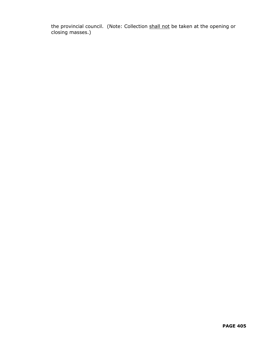the provincial council. (Note: Collection shall not be taken at the opening or closing masses.)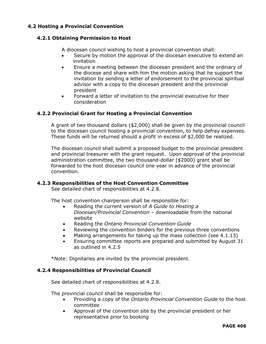#### **4.2 Hosting a Provincial Convention**

#### **4.2.1 Obtaining Permission to Host**

A diocesan council wishing to host a provincial convention shall:

- Secure by motion the approval of the diocesan executive to extend an invitation
- Ensure a meeting between the diocesan president and the ordinary of the diocese and share with him the motion asking that he support the invitation by sending a letter of endorsement to the provincial spiritual advisor with a copy to the diocesan president and the provincial president
- Forward a letter of invitation to the provincial executive for their consideration

#### **4.2.2 Provincial Grant for Hosting a Provincial Convention**

A grant of two thousand dollars (\$2,000) shall be given by the provincial council to the diocesan council hosting a provincial convention, to help defray expenses. These funds will be returned should a profit in excess of \$2,000 be realized.

The diocesan council shall submit a proposed budget to the provincial president and provincial treasurer with the grant request. Upon approval of the provincial administration committee, the two thousand-dollar (\$2000) grant shall be forwarded to the host diocesan council one year in advance of the provincial convention.

#### **4.2.3 Responsibilities of the Host Convention Committee**

See detailed chart of responsibilities at 4.2.8.

The host convention chairperson shall be responsible for:

- Reading the current version of *A Guide to Hosting a Diocesan/Provincial Convention –* downloadable from the national website
- Reading the *Ontario Provincial Convention Guide*
- Reviewing the convention binders for the previous three conventions
- Making arrangements for taking up the mass collection (see 4.1.13)
- Ensuring committee reports are prepared and submitted by August 31 as outlined in 4.2.5

\*Note: Dignitaries are invited by the provincial president.

#### **4.2.4 Responsibilities of Provincial Council**

See detailed chart of responsibilities at 4.2.8.

The provincial council shall be responsible for:

- Providing a copy of the *Ontario Provincial Convention Guide* to the host committee
- Approval of the convention site by the provincial president or her representative prior to booking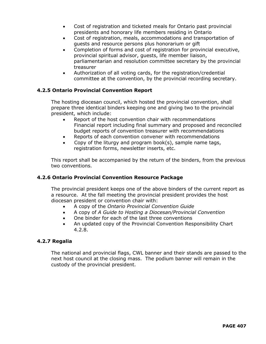- Cost of registration and ticketed meals for Ontario past provincial presidents and honorary life members residing in Ontario
- Cost of registration, meals, accommodations and transportation of guests and resource persons plus honorarium or gift
- Completion of forms and cost of registration for provincial executive, provincial spiritual advisor, guests, life member liaison, parliamentarian and resolution committee secretary by the provincial treasurer
- Authorization of all voting cards, for the registration/credential committee at the convention, by the provincial recording secretary.

#### **4.2.5 Ontario Provincial Convention Report**

The hosting diocesan council, which hosted the provincial convention, shall prepare three identical binders keeping one and giving two to the provincial president, which include:

- Report of the host convention chair with recommendations Financial report including final summary and proposed and reconciled budget reports of convention treasurer with recommendations
- Reports of each convention convener with recommendations
- Copy of the liturgy and program book(s), sample name tags, registration forms, newsletter inserts, etc.

This report shall be accompanied by the return of the binders, from the previous two conventions.

#### **4.2.6 Ontario Provincial Convention Resource Package**

The provincial president keeps one of the above binders of the current report as a resource. At the fall meeting the provincial president provides the host diocesan president or convention chair with:

- A copy of the *Ontario Provincial Convention Guide*
- A copy of *A Guide to Hosting a Diocesan/Provincial Convention*
- One binder for each of the last three conventions
- An updated copy of the Provincial Convention Responsibility Chart 4.2.8.

#### **4.2.7 Regalia**

The national and provincial flags, CWL banner and their stands are passed to the next host council at the closing mass. The podium banner will remain in the custody of the provincial president.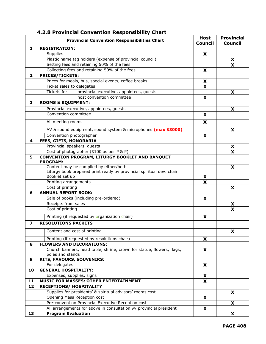|                | <b>Provincial Convention Responsibilities Chart</b>                   | <b>Host</b><br><b>Council</b> | <b>Provincial</b><br><b>Council</b> |
|----------------|-----------------------------------------------------------------------|-------------------------------|-------------------------------------|
| 1              | <b>REGISTRATION:</b>                                                  |                               |                                     |
|                | Supplies                                                              | X                             |                                     |
|                | Plastic name tag holders (expense of provincial council)              |                               | X                                   |
|                | Setting fees and retaining 50% of the fees                            |                               | X                                   |
|                | Collecting fees and retaining 50% of the fees                         | X                             |                                     |
| $\overline{2}$ | <b>PRICES/TICKETS:</b>                                                |                               |                                     |
|                | Prices for meals, bus, special events, coffee breaks                  | X                             |                                     |
|                | Ticket sales to delegates                                             | X                             |                                     |
|                | Tickets for<br>provincial executive, appointees, guests               |                               | X                                   |
|                | host convention committee                                             | X                             |                                     |
| 3              | <b>ROOMS &amp; EQUIPMENT:</b>                                         |                               |                                     |
|                | Provincial executive, appointees, guests                              |                               | X                                   |
|                | Convention committee                                                  | X                             |                                     |
|                |                                                                       |                               |                                     |
|                | All meeting rooms                                                     | X                             |                                     |
|                | AV & sound equipment, sound system & microphones (max \$3000)         |                               | X                                   |
|                | Convention photographer                                               | X                             |                                     |
| 4              | <b>FEES, GIFTS, HONORARIA</b>                                         |                               |                                     |
|                | Provincial speakers, guests                                           |                               | X                                   |
|                | Cost of photographer (\$100 as per P & P)                             |                               | $\overline{\textbf{x}}$             |
| 5              | <b>CONVENTION PROGRAM, LITURGY BOOKLET AND BANQUET</b>                |                               |                                     |
|                | <b>PROGRAM:</b>                                                       |                               |                                     |
|                | Content may be compiled by either/both                                |                               | X                                   |
|                | Liturgy book prepared print ready by provincial spiritual dev. chair  |                               |                                     |
|                | Booklet set up                                                        | X                             |                                     |
|                | Printing arrangements                                                 | X                             |                                     |
|                | Cost of printing                                                      |                               | X                                   |
| 6              | <b>ANNUAL REPORT BOOK:</b>                                            |                               |                                     |
|                | Sale of books (including pre-ordered)<br>Receipts from sales          | X                             |                                     |
|                |                                                                       |                               | X<br>$\overline{\mathbf{x}}$        |
|                | Cost of printing                                                      |                               |                                     |
|                | Printing (if requested by organization chair)                         | X                             |                                     |
| 7              | <b>RESOLUTIONS PACKETS</b>                                            |                               |                                     |
|                | Content and cost of printing                                          |                               | X                                   |
|                | Printing (if requested by resolutions chair)                          | X                             |                                     |
| 8              | <b>FLOWERS AND DECORATIONS:</b>                                       |                               |                                     |
|                | Church banners, head table, shrine, crown for statue, flowers, flags, | X                             |                                     |
|                | poles and stands                                                      |                               |                                     |
| 9              | KITS, FAVOURS, SOUVENIRS:                                             |                               |                                     |
|                | For delegates                                                         | X.                            |                                     |
| 10             | <b>GENERAL HOSPITALITY:</b>                                           |                               |                                     |
|                | Expenses, supplies, signs                                             | X                             |                                     |
| 11             | MUSIC FOR MASSES; OTHER ENTERTAINMENT                                 | X                             |                                     |
| 12             | <b>RECEPTIONS/ HOSPITALITY</b>                                        |                               |                                     |
|                | Supplies for presidents' & spiritual advisors' rooms cost             |                               | X                                   |
|                | Opening Mass Reception cost                                           | X                             |                                     |
|                | Pre-convention Provincial Executive Reception cost                    |                               | X                                   |
|                | All arrangements for above in consultation w/ provincial president    | X                             |                                     |
| 13             | <b>Program Evaluation</b>                                             |                               | X                                   |

#### **4.2.8 Provincial Convention Responsibility Chart**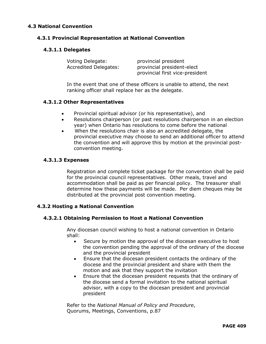#### **4.3 National Convention**

#### **4.3.1 Provincial Representation at National Convention**

#### **4.3.1.1 Delegates**

| Voting Delegate:      | provincial president            |
|-----------------------|---------------------------------|
| Accredited Delegates: | provincial president-elect      |
|                       | provincial first vice-president |

In the event that one of these officers is unable to attend, the next ranking officer shall replace her as the delegate.

#### **4.3.1.2 Other Representatives**

- Provincial spiritual advisor (or his representative), and
- Resolutions chairperson (or past resolutions chairperson in an election year) when Ontario has resolutions to come before the national
- When the resolutions chair is also an accredited delegate, the provincial executive may choose to send an additional officer to attend the convention and will approve this by motion at the provincial postconvention meeting.

#### **4.3.1.3 Expenses**

Registration and complete ticket package for the convention shall be paid for the provincial council representatives. Other meals, travel and accommodation shall be paid as per financial policy. The treasurer shall determine how these payments will be made. Per diem cheques may be distributed at the provincial post convention meeting.

#### **4.3.2 Hosting a National Convention**

#### **4.3.2.1 Obtaining Permission to Host a National Convention**

Any diocesan council wishing to host a national convention in Ontario shall:

- Secure by motion the approval of the diocesan executive to host the convention pending the approval of the ordinary of the diocese and the provincial president
- Ensure that the diocesan president contacts the ordinary of the diocese and the provincial president and share with them the motion and ask that they support the invitation
- Ensure that the diocesan president requests that the ordinary of the diocese send a formal invitation to the national spiritual advisor, with a copy to the diocesan president and provincial president

Refer to the *National Manual of Policy and Procedure*, Quorums, Meetings, Conventions, p.87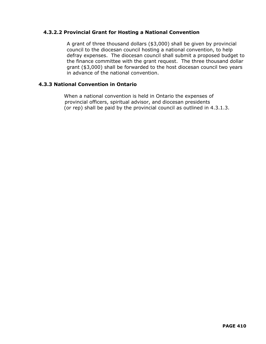#### **4.3.2.2 Provincial Grant for Hosting a National Convention**

A grant of three thousand dollars (\$3,000) shall be given by provincial council to the diocesan council hosting a national convention, to help defray expenses. The diocesan council shall submit a proposed budget to the finance committee with the grant request. The three thousand dollar grant (\$3,000) shall be forwarded to the host diocesan council two years in advance of the national convention.

#### **4.3.3 National Convention in Ontario**

 When a national convention is held in Ontario the expenses of provincial officers, spiritual advisor, and diocesan presidents (or rep) shall be paid by the provincial council as outlined in 4.3.1.3.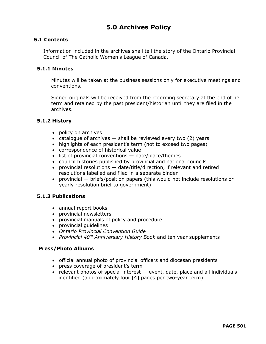## **5.0 Archives Policy**

#### **5.1 Contents**

Information included in the archives shall tell the story of the Ontario Provincial Council of The Catholic Women's League of Canada.

#### **5.1.1 Minutes**

Minutes will be taken at the business sessions only for executive meetings and conventions.

Signed originals will be received from the recording secretary at the end of her term and retained by the past president/historian until they are filed in the archives.

#### **5.1.2 History**

- policy on archives
- catalogue of archives  $-$  shall be reviewed every two (2) years
- highlights of each president's term (not to exceed two pages)
- correspondence of historical value
- list of provincial conventions date/place/themes
- council histories published by provincial and national councils
- provincial resolutions date/title/direction, if relevant and retired resolutions labelled and filed in a separate binder
- provincial briefs/position papers (this would not include resolutions or yearly resolution brief to government)

#### **5.1.3 Publications**

- annual report books
- provincial newsletters
- provincial manuals of policy and procedure
- provincial guidelines
- *Ontario Provincial Convention Guide*
- *Provincial 40th Anniversary History Book* and ten year supplements

#### **Press/Photo Albums**

- official annual photo of provincial officers and diocesan presidents
- press coverage of president's term
- relevant photos of special interest event, date, place and all individuals identified (approximately four [4] pages per two-year term)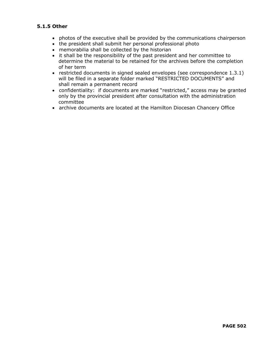#### **5.1.5 Other**

- photos of the executive shall be provided by the communications chairperson
- the president shall submit her personal professional photo
- memorabilia shall be collected by the historian
- it shall be the responsibility of the past president and her committee to determine the material to be retained for the archives before the completion of her term
- restricted documents in signed sealed envelopes (see correspondence 1.3.1) will be filed in a separate folder marked "RESTRICTED DOCUMENTS" and shall remain a permanent record
- confidentiality: if documents are marked "restricted," access may be granted only by the provincial president after consultation with the administration committee
- archive documents are located at the Hamilton Diocesan Chancery Office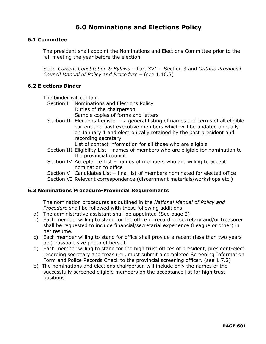## **6.0 Nominations and Elections Policy**

#### **6.1 Committee**

The president shall appoint the Nominations and Elections Committee prior to the fall meeting the year before the election.

See: *Current Constitution & Bylaws* – Part XV1 – Section 3 and *Ontario Provincial Council Manual of Policy and Procedure* – (see 1.10.3)

#### **6.2 Elections Binder**

The binder will contain:

- Section I Nominations and Elections Policy Duties of the chairperson Sample copies of forms and letters
- Section II Elections Register a general listing of names and terms of all eligible current and past executive members which will be updated annually on January 1 and electronically retained by the past president and recording secretary

List of contact information for all those who are eligible

- Section III Eligibility List names of members who are eligible for nomination to the provincial council
- Section IV Acceptance List names of members who are willing to accept nomination to office
- Section V Candidates List final list of members nominated for elected office

Section VI Relevant correspondence (discernment materials/workshops etc.)

#### **6.3 Nominations Procedure-Provincial Requirements**

The nomination procedures as outlined in the *National Manual of Policy and Procedure* shall be followed with these following additions:

- a) The administrative assistant shall be appointed (See page 2)
- b) Each member willing to stand for the office of recording secretary and/or treasurer shall be requested to include financial/secretarial experience (League or other) in her resume.
- c) Each member willing to stand for office shall provide a recent (less than two years old) passport size photo of herself.
- d) Each member willing to stand for the high trust offices of president, president-elect, recording secretary and treasurer, must submit a completed Screening Information Form and Police Records Check to the provincial screening officer. (see 1.7.2)
- e) The nominations and elections chairperson will include only the names of the successfully screened eligible members on the acceptance list for high trust positions.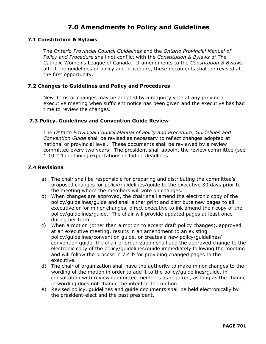## **7.0 Amendments to Policy and Guidelines**

#### **7.1 Constitution & Bylaws**

The *Ontario Provincial Council Guidelines* and the *Ontario Provincial Manual of Policy and Procedure* shall not conflict with the *Constitution & Bylaws* of The Catholic Women's League of Canada. If amendments to the *Constitution & Bylaws* affect the guidelines or policy and procedure, these documents shall be revised at the first opportunity.

#### **7.2 Changes to Guidelines and Policy and Procedures**

New items or changes may be adopted by a majority vote at any provincial executive meeting when sufficient notice has been given and the executive has had time to review the changes.

#### **7.3 Policy, Guidelines and Convention Guide Review**

The *Ontario Provincial Council Manual of Policy and Procedure*, *Guidelines and Convention Guide* shall be revised as necessary to reflect changes adopted at national or provincial level. These documents shall be reviewed by a review committee every two years. The president shall appoint the review committee (see 1.10.2.1) outlining expectations including deadlines.

#### **7.4 Revisions**

- a) The chair shall be responsible for preparing and distributing the committee's proposed changes for policy/guidelines/guide to the executive 30 days prior to the meeting where the members will vote on changes.
- b) When changes are approved, the chair shall amend the electronic copy of the policy/guidelines/guide and shall either print and distribute new pages to all executive or for minor changes, direct executive to ink amend their copy of the policy/guidelines/guide. The chair will provide updated pages at least once during her term.
- c) When a motion (other than a motion to accept draft policy changes), approved at an executive meeting, results in an amendment to an existing policy/guidelines/convention guide, or creates a new policy/guidelines/ convention guide, the chair of organization shall add the approved change to the electronic copy of the policy/guidelines/guide immediately following the meeting and will follow the process in 7.4 b for providing changed pages to the executive.
- d) The chair of organization shall have the authority to make minor changes to the wording of the motion in order to add it to the policy/guidelines/guide, in consultation with review committee members as required, as long as the change in wording does not change the intent of the motion.
- e) Revised policy, guidelines and guide documents shall be held electronically by the president-elect and the past president.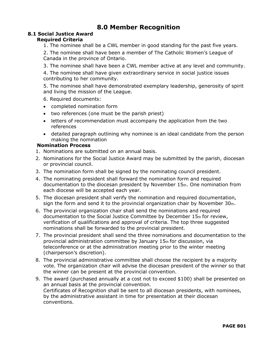## **8.0 Member Recognition**

#### **8.1 Social Justice Award Required Criteria**

1. The nominee shall be a CWL member in good standing for the past five years.

2. The nominee shall have been a member of The Catholic Women's League of Canada in the province of Ontario.

3. The nominee shall have been a CWL member active at any level and community.

4. The nominee shall have given extraordinary service in social justice issues contributing to her community.

5. The nominee shall have demonstrated exemplary leadership, generosity of spirit and living the mission of the League.

6. Required documents:

- completed nomination form
- two references (one must be the parish priest)
- letters of recommendation must accompany the application from the two references
- detailed paragraph outlining why nominee is an ideal candidate from the person making the nomination

#### **Nomination Process**

- 1. Nominations are submitted on an annual basis.
- 2. Nominations for the Social Justice Award may be submitted by the parish, diocesan or provincial council.
- 3. The nomination form shall be signed by the nominating council president.
- 4. The nominating president shall forward the nomination form and required documentation to the diocesan president by November 15th. One nomination from each diocese will be accepted each year.
- 5. The diocesan president shall verify the nomination and required documentation, sign the form and send it to the provincial organization chair by November  $30<sub>th</sub>$ .
- 6. The provincial organization chair shall send the nominations and required documentation to the Social Justice Committee by December 15th for review, verification of qualifications and approval of criteria. The top three suggested nominations shall be forwarded to the provincial president.
- 7. The provincial president shall send the three nominations and documentation to the provincial administration committee by January 15th for discussion, via teleconference or at the administration meeting prior to the winter meeting (chairperson's discretion).
- 8. The provincial administrative committee shall choose the recipient by a majority vote. The organization chair will advise the diocesan president of the winner so that the winner can be present at the provincial convention.
- 9. The award (purchased annually at a cost not to exceed \$100) shall be presented on an annual basis at the provincial convention. Certificates of Recognition shall be sent to all diocesan presidents, with nominees, by the administrative assistant in time for presentation at their diocesan conventions.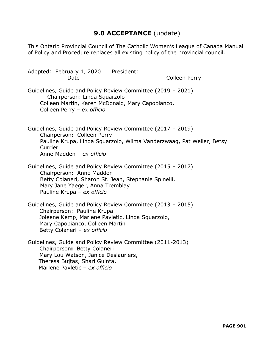## **9.0 ACCEPTANCE** (update)

This Ontario Provincial Council of The Catholic Women's League of Canada Manual of Policy and Procedure replaces all existing policy of the provincial council.

| Adopted: February 1, 2020<br>President:<br>Date                                                                                                                                                                  | <b>Colleen Perry</b>                                                 |
|------------------------------------------------------------------------------------------------------------------------------------------------------------------------------------------------------------------|----------------------------------------------------------------------|
| Guidelines, Guide and Policy Review Committee (2019 - 2021)<br>Chairperson: Linda Squarzolo<br>Colleen Martin, Karen McDonald, Mary Capobianco,<br>Colleen Perry - ex officio                                    |                                                                      |
| Guidelines, Guide and Policy Review Committee (2017 - 2019)<br>Chairperson: Colleen Perry<br>Currier<br>Anne Madden - ex officio                                                                                 | Pauline Krupa, Linda Squarzolo, Wilma Vanderzwaag, Pat Weller, Betsy |
| Guidelines, Guide and Policy Review Committee (2015 - 2017)<br>Chairperson: Anne Madden<br>Betty Colaneri, Sharon St. Jean, Stephanie Spinelli,<br>Mary Jane Yaeger, Anna Tremblay<br>Pauline Krupa - ex officio |                                                                      |
| Guidelines, Guide and Policy Review Committee (2013 - 2015)<br>Chairperson: Pauline Krupa<br>Joleene Kemp, Marlene Pavletic, Linda Squarzolo,<br>Mary Capobianco, Colleen Martin<br>Betty Colaneri - ex officio  |                                                                      |
| Guidelines, Guide and Policy Review Committee (2011-2013)<br>Chairperson: Betty Colaneri<br>Mary Lou Watson, Janice Deslauriers,<br>Theresa Bujtas, Shari Guinta,<br>Marlene Pavletic - ex officio               |                                                                      |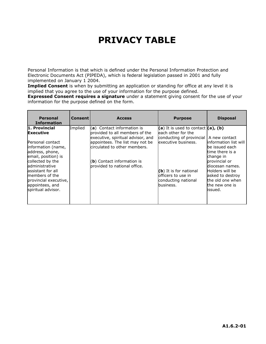## **PRIVACY TABLE**

Personal Information is that which is defined under the Personal Information Protection and Electronic Documents Act (PIPEDA), which is federal legislation passed in 2001 and fully implemented on January 1 2004.

**Implied Consent** is when by submitting an application or standing for office at any level it is implied that you agree to the use of your information for the purpose defined.

**Expressed Consent requires a signature** under a statement giving consent for the use of your information for the purpose defined on the form.

| <b>Personal</b><br><b>Information</b>                                                                                                                                                                                                                                | <b>Consent</b> | <b>Access</b>                                                                                                                                                                                                                        | <b>Purpose</b>                                                                                                                                                                                         | <b>Disposal</b>                                                                                                                                                                                                       |
|----------------------------------------------------------------------------------------------------------------------------------------------------------------------------------------------------------------------------------------------------------------------|----------------|--------------------------------------------------------------------------------------------------------------------------------------------------------------------------------------------------------------------------------------|--------------------------------------------------------------------------------------------------------------------------------------------------------------------------------------------------------|-----------------------------------------------------------------------------------------------------------------------------------------------------------------------------------------------------------------------|
| 1. Provincial<br><b>Executive</b><br>Personal contact<br>information (name,<br>address, phone,<br>email, position) is<br>collected by the<br>administrative<br>assistant for all<br>members of the<br>provincial executive,<br>appointees, and<br>spiritual advisor. | Implied        | $(a)$ Contact information is<br>provided to all members of the<br>executive, spiritual advisor, and<br>appointees. The list may not be<br>circulated to other members.<br>(b) Contact information is<br>provided to national office. | (a) It is used to contact $(a)$ , (b)<br>leach other for the<br>conducting of provincial<br>lexecutive business.<br>$(b)$ It is for national<br>officers to use in<br>conducting national<br>business. | A new contact<br>linformation list will<br>be issued each<br>time there is a<br>change in<br>provincial or<br>diocesan names.<br>Holders will be<br>asked to destroy<br>the old one when<br>the new one is<br>issued. |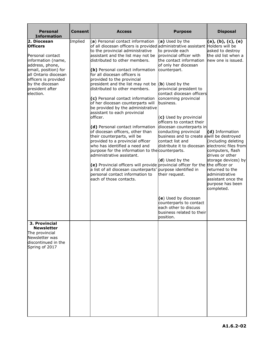| <b>Personal</b><br><b>Information</b>                                                                                                                                                                                  | <b>Consent</b> | <b>Access</b>                                                                                                                                                                                                                                                                                                                                                                                                                                                                                                                                                                                                                                                                                                                                                                                                                                                                                                                                                            | <b>Purpose</b>                                                                                                                                                                                                                                                                                                                                                                                                                                                                                                                                                                                                                                   | <b>Disposal</b>                                                                                                                                                                                                                                                                          |
|------------------------------------------------------------------------------------------------------------------------------------------------------------------------------------------------------------------------|----------------|--------------------------------------------------------------------------------------------------------------------------------------------------------------------------------------------------------------------------------------------------------------------------------------------------------------------------------------------------------------------------------------------------------------------------------------------------------------------------------------------------------------------------------------------------------------------------------------------------------------------------------------------------------------------------------------------------------------------------------------------------------------------------------------------------------------------------------------------------------------------------------------------------------------------------------------------------------------------------|--------------------------------------------------------------------------------------------------------------------------------------------------------------------------------------------------------------------------------------------------------------------------------------------------------------------------------------------------------------------------------------------------------------------------------------------------------------------------------------------------------------------------------------------------------------------------------------------------------------------------------------------------|------------------------------------------------------------------------------------------------------------------------------------------------------------------------------------------------------------------------------------------------------------------------------------------|
| 2. Diocesan<br><b>Officers</b><br>Personal contact<br>information (name,<br>address, phone,<br>email, position) for<br>all Ontario diocesan<br>officers is provided<br>by the diocesan<br>president after<br>election. | Implied        | (a) Personal contact information<br>of all diocesan officers is provided administrative assistant Holders will be<br>to the provincial administrative<br>assistant and the list may not be<br>distributed to other members.<br>(b) Personal contact information<br>for all diocesan officers is<br>provided to the provincial<br>president and the list may not be<br>distributed to other members.<br>(c) Personal contact information<br>of her diocesan counterparts will<br>be provided by the administrative<br>assistant to each provincial<br>officer.<br>(d) Personal contact information<br>of diocesan officers, other than<br>their counterparts, will be<br>provided to a provincial officer<br>who has identified a need and<br>purpose for the information to the counterparts.<br>administrative assistant.<br>(e) Provincial officers will provide<br>a list of all diocesan counterparts'<br>personal contact information to<br>each of those contacts. | (a) Used by the<br>to provide each<br>provincial officer with<br>the contact information<br>of only her diocesan<br>counterpart.<br>(b) Used by the<br>provincial president to<br>contact diocesan officers<br>concerning provincial<br>business.<br>(c) Used by provincial<br>officers to contact their<br>diocesan counterparts in<br>conducting provincial<br>business and to create a will be destroyed<br>contact list and<br>distribute it to diocesan electronic files from<br>(d) Used by the<br>provincial officer for the the officer or<br>purpose identified in<br>their request.<br>(e) Used by diocesan<br>counterparts to contact | (a), (b), (c), (e)<br>asked to destroy<br>the old list when a<br>new one is issued.<br>(d) Information<br>(including deleting<br>computers, flash<br>drives or other<br>storage devices) by<br>returned to the<br>administrative<br>assistant once the<br>purpose has been<br>completed. |
| 3. Provincial<br><b>Newsletter</b>                                                                                                                                                                                     |                |                                                                                                                                                                                                                                                                                                                                                                                                                                                                                                                                                                                                                                                                                                                                                                                                                                                                                                                                                                          | each other to discuss<br>business related to their<br>position.                                                                                                                                                                                                                                                                                                                                                                                                                                                                                                                                                                                  |                                                                                                                                                                                                                                                                                          |
| The provincial<br>Newsletter was<br>discontinued in the<br>Spring of 2017                                                                                                                                              |                |                                                                                                                                                                                                                                                                                                                                                                                                                                                                                                                                                                                                                                                                                                                                                                                                                                                                                                                                                                          |                                                                                                                                                                                                                                                                                                                                                                                                                                                                                                                                                                                                                                                  |                                                                                                                                                                                                                                                                                          |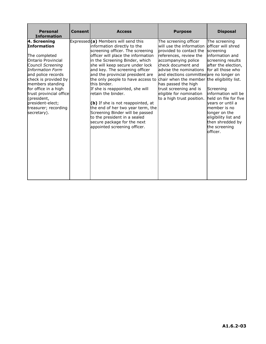| <b>Personal</b><br><b>Information</b>                                                                                                                                                                                                                                                                                           | <b>Consent</b> | <b>Access</b>                                                                                                                                                                                                                                                                                                                                                                                                                                                                                                                                                                                                      | <b>Purpose</b>                                                                                                                                                                                                                                                                                                                                                                    | <b>Disposal</b>                                                                                                                                                                                                                                                                                                                 |
|---------------------------------------------------------------------------------------------------------------------------------------------------------------------------------------------------------------------------------------------------------------------------------------------------------------------------------|----------------|--------------------------------------------------------------------------------------------------------------------------------------------------------------------------------------------------------------------------------------------------------------------------------------------------------------------------------------------------------------------------------------------------------------------------------------------------------------------------------------------------------------------------------------------------------------------------------------------------------------------|-----------------------------------------------------------------------------------------------------------------------------------------------------------------------------------------------------------------------------------------------------------------------------------------------------------------------------------------------------------------------------------|---------------------------------------------------------------------------------------------------------------------------------------------------------------------------------------------------------------------------------------------------------------------------------------------------------------------------------|
| 4. Screening<br><b>Information</b><br>The completed<br><b>Ontario Provincial</b><br>Council Screening<br><b>Information Form</b><br>and police records<br>check is provided by<br>members standing<br>for office in a high<br>trust provincial office<br>(president,<br>president-elect;<br>treasurer; recording<br>secretary). |                | Expressed (a) Members will send this<br>information directly to the<br>screening officer. The screening<br>officer will place the information<br>in the Screening Binder, which<br>she will keep secure under lock<br>and key. The screening officer<br>and the provincial president are<br>the only people to have access to<br>this binder.<br>If she is reappointed, she will<br>retain the binder.<br>(b) If she is not reappointed, at<br>the end of her two year term, the<br>Screening Binder will be passed<br>to the president in a sealed<br>secure package for the next<br>appointed screening officer. | The screening officer<br>will use the information<br>provided to contact the<br>references, review the<br>accompanying police<br>check document and<br>advise the nominations<br>and elections committee are no longer on<br>chair when the member the eligibility list.<br>has passed the high<br>trust screening and is<br>eligible for nomination<br>to a high trust position. | The screening<br>officer will shred<br>screening<br>information and<br>screening results<br>after the election,<br>for all those who<br>Screening<br>information will be<br>held on file for five<br>vears or until a<br>member is no<br>longer on the<br>eligibility list and<br>then shredded by<br>the screening<br>officer. |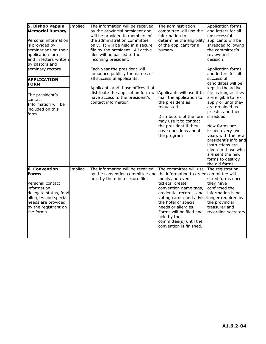| 5. Bishop Pappin<br><b>Memorial Bursary</b><br>Personal information<br>is provided by<br>seminarians on their<br>application forms<br>and in letters written<br>by pastors and<br>seminary rectors.<br><b>APPLICATION</b><br><b>FORM</b><br>The president's<br>contact<br>Information will be<br>included on this<br>form. | Implied | The information will be received<br>by the provincial president and<br>will be provided to members of<br>the administration committee<br>only. It will be held in a secure<br>file by the president. All active<br>files will be passed to the<br>incoming president.<br>Each year the president will<br>announce publicly the names of<br>all successful applicants.<br>Applicants and those offices that<br>distribute the application form will Applicants will use it to<br>have access to the president's<br>contact information | The administration<br>committee will use the<br>linformation to<br>determine the eligibility applicants will be<br>of the applicant for a<br>bursary.<br>mail the application to<br>the president as<br>requested.<br>Distributors of the form shredded.<br>may use it to contact                                                                       | Application forms<br>and letters for all<br>unsuccessful<br>shredded following<br>the committee's<br>review and<br>decision.<br>Application forms<br>and letters for all<br>successful<br>candidates will be<br>kept in the active<br>file as long as they<br>are eligible to re-<br>apply or until they<br>are ordained as<br>priests, and then |
|----------------------------------------------------------------------------------------------------------------------------------------------------------------------------------------------------------------------------------------------------------------------------------------------------------------------------|---------|---------------------------------------------------------------------------------------------------------------------------------------------------------------------------------------------------------------------------------------------------------------------------------------------------------------------------------------------------------------------------------------------------------------------------------------------------------------------------------------------------------------------------------------|---------------------------------------------------------------------------------------------------------------------------------------------------------------------------------------------------------------------------------------------------------------------------------------------------------------------------------------------------------|--------------------------------------------------------------------------------------------------------------------------------------------------------------------------------------------------------------------------------------------------------------------------------------------------------------------------------------------------|
|                                                                                                                                                                                                                                                                                                                            |         |                                                                                                                                                                                                                                                                                                                                                                                                                                                                                                                                       | the president if they<br>have questions about<br>the program                                                                                                                                                                                                                                                                                            | New forms are<br>issued every two<br>years with the new<br>president's info and<br>instructions are<br>given to those who<br>are sent the new<br>forms to destroy<br>the old forms.                                                                                                                                                              |
| <b>6. Convention</b><br>Forms<br>Personal contact<br>information,<br>delegate status, food<br>allergies and special<br>needs are provided<br>by the registrant on<br>the forms.                                                                                                                                            | Implied | The information will be received<br>by the convention committee and<br>held by them in a secure file.                                                                                                                                                                                                                                                                                                                                                                                                                                 | The committee will use<br>the information to order committee will<br>meals and event<br>tickets; create<br>convention name tags,<br>credential records, and<br>voting cards; and adviselonger required by<br>the hotel of special<br>needs or allergies.<br>Forms will be filed and<br>held by the<br>committee(s) until the<br>convention is finished. | The registration<br>shred forms once<br>they have<br>confirmed the<br>information is no<br>the provincial<br>treasurer and<br>recording secretary                                                                                                                                                                                                |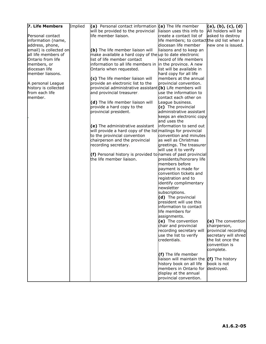| 7. Life Members        | Implied | (a) Personal contact information $(a)$ The life member       |                                              | (a), (b), (c), (d)   |
|------------------------|---------|--------------------------------------------------------------|----------------------------------------------|----------------------|
|                        |         | will be provided to the provincial                           | liaison uses this info to                    | All holders will be  |
| Personal contact       |         | life member liaison.                                         | create a contact list of                     | asked to destroy     |
| information (name,     |         |                                                              | life members; to contact the old list when a |                      |
| address, phone,        |         |                                                              | diocesan life member                         | new one is issued.   |
| email) is collected on |         | (b) The life member liaison will                             | liaisons and to keep an                      |                      |
| all life members of    |         | make available a hard copy of the up to date electronic      |                                              |                      |
| Ontario from life      |         | list of life member contact                                  | record of life members                       |                      |
| members, or            |         | information to all life members in in the province. A new    |                                              |                      |
| diocesan life          |         | Ontario when requested.                                      | list will be available in                    |                      |
| member liaisons.       |         |                                                              | hard copy for all life                       |                      |
|                        |         | (c) The life member liaison will                             | members at the annual                        |                      |
| A personal League      |         | provide an electronic list to the                            | provincial convention.                       |                      |
| history is collected   |         | provincial administrative assistant(b) Life members will     |                                              |                      |
| from each life         |         | and provincial treasurer.                                    | use the information to                       |                      |
| member.                |         |                                                              | contact each other on                        |                      |
|                        |         | (d) The life member liaison will                             | League business.                             |                      |
|                        |         | provide a hard copy to the                                   | (c) The provincial                           |                      |
|                        |         | provincial president.                                        | administrative assistant                     |                      |
|                        |         |                                                              | keeps an electronic copy                     |                      |
|                        |         |                                                              | and uses the                                 |                      |
|                        |         |                                                              | information to send out                      |                      |
|                        |         | (e) The administrative assistant                             |                                              |                      |
|                        |         | will provide a hard copy of the list mailings for provincial | convention and minutes                       |                      |
|                        |         | to the provincial convention                                 |                                              |                      |
|                        |         | chairperson and the provincial                               | as well as Christmas                         |                      |
|                        |         | recording secretary.                                         | greetings. The treasurer                     |                      |
|                        |         |                                                              | will use it to verify                        |                      |
|                        |         | (f) Personal history is provided to names of past provincial |                                              |                      |
|                        |         | the life member liaison.                                     | presidents/honorary life                     |                      |
|                        |         |                                                              | members before                               |                      |
|                        |         |                                                              | payment is made for                          |                      |
|                        |         |                                                              | convention tickets and                       |                      |
|                        |         |                                                              | registration and to                          |                      |
|                        |         |                                                              | identify complimentary                       |                      |
|                        |         |                                                              | newsletter                                   |                      |
|                        |         |                                                              | subscriptions.                               |                      |
|                        |         |                                                              | (d) The provincial                           |                      |
|                        |         |                                                              | president will use this                      |                      |
|                        |         |                                                              | information to contact                       |                      |
|                        |         |                                                              | life members for                             |                      |
|                        |         |                                                              | assignments.                                 |                      |
|                        |         |                                                              | (e) The convention                           | (e) The convention   |
|                        |         |                                                              | chair and provincial                         | chairperson,         |
|                        |         |                                                              | recording secretary will                     | provincial recording |
|                        |         |                                                              | use the list to verify                       | secretary will shred |
|                        |         |                                                              | credentials.                                 | the list once the    |
|                        |         |                                                              |                                              | convention is        |
|                        |         |                                                              |                                              | complete.            |
|                        |         |                                                              | (f) The life member                          |                      |
|                        |         |                                                              | liaison will maintain the $(f)$ The history  |                      |
|                        |         |                                                              | history book on all life                     | book is not          |
|                        |         |                                                              | members in Ontario for                       | destroyed.           |
|                        |         |                                                              | display at the annual                        |                      |
|                        |         |                                                              | provincial convention.                       |                      |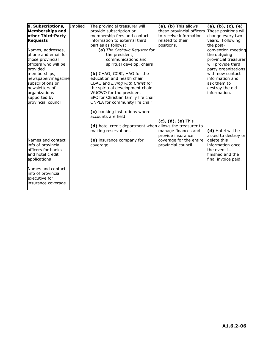| 8. Subscriptions,                                                                                 | Implied | The provincial treasurer will                                                                                                          | (a), (b) This allows                              | (a), (b), (c), (e)                                                                         |
|---------------------------------------------------------------------------------------------------|---------|----------------------------------------------------------------------------------------------------------------------------------------|---------------------------------------------------|--------------------------------------------------------------------------------------------|
| <b>Memberships and</b>                                                                            |         | provide subscription or                                                                                                                | these provincial officers These positions will    |                                                                                            |
| other Third-Party                                                                                 |         | membership fees and contact                                                                                                            | to receive information                            | change every two                                                                           |
| <b>Requests</b>                                                                                   |         | information to external third                                                                                                          | related to their                                  | years. Following                                                                           |
|                                                                                                   |         | parties as follows:                                                                                                                    | positions.                                        | the post-                                                                                  |
| Names, addresses,                                                                                 |         | (a) The Catholic Register for                                                                                                          |                                                   | convention meeting                                                                         |
| phone and email for                                                                               |         | the president,                                                                                                                         |                                                   | the outgoing                                                                               |
| those provincial                                                                                  |         | communications and                                                                                                                     |                                                   | provincial treasurer                                                                       |
| officers who will be                                                                              |         | spiritual develop. chairs                                                                                                              |                                                   | will provide third                                                                         |
| provided                                                                                          |         |                                                                                                                                        |                                                   | party organizations                                                                        |
| memberships,                                                                                      |         | (b) CHAO, CCBI, HAO for the                                                                                                            |                                                   | with new contact                                                                           |
| newspaper/magazine                                                                                |         | education and health chair                                                                                                             |                                                   | information and                                                                            |
| subscriptions or                                                                                  |         | CBAC and Living with Christ for                                                                                                        |                                                   | ask them to                                                                                |
| newsletters of                                                                                    |         | the spiritual development chair                                                                                                        |                                                   | destroy the old                                                                            |
| organizations                                                                                     |         | WUCWO for the president                                                                                                                |                                                   | information.                                                                               |
| supported by                                                                                      |         | EPC for Christian family life chair                                                                                                    |                                                   |                                                                                            |
| provincial council                                                                                |         | ONPEA for community life chair                                                                                                         |                                                   |                                                                                            |
|                                                                                                   |         | (c) banking institutions where<br>accounts are held<br>(d) hotel credit department when allows the treasurer to<br>making reservations | $(c)$ , $(d)$ , $(e)$ This<br>manage finances and | (d) Hotel will be                                                                          |
|                                                                                                   |         |                                                                                                                                        | provide insurance                                 | asked to destroy or                                                                        |
| Names and contact<br>info of provincial<br>officers for banks<br>and hotel credit<br>applications |         | (e) insurance company for<br>coverage                                                                                                  | coverage for the entire<br>provincial council.    | delete this<br>information once<br>the event is<br>finished and the<br>final invoice paid. |
| Names and contact<br>info of provincial<br>executive for<br>insurance coverage                    |         |                                                                                                                                        |                                                   |                                                                                            |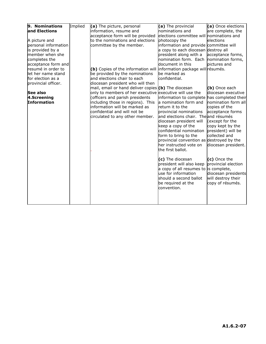| 9. Nominations       | Implied | (a) The picture, personal                                            | (a) The provincial                          | (a) Once elections  |
|----------------------|---------|----------------------------------------------------------------------|---------------------------------------------|---------------------|
| and Elections        |         | information, resume and                                              | nominations and                             | are complete, the   |
|                      |         | acceptance form will be provided                                     | elections committee will nominations and    |                     |
| A picture and        |         | to the nominations and elections                                     | photocopy the                               | elections           |
| personal information |         | committee by the member.                                             | information and provide committee will      |                     |
| is provided by a     |         |                                                                      | a copy to each diocesan destroy all         |                     |
| member when she      |         |                                                                      | president along with a                      | acceptance forms,   |
| completes the        |         |                                                                      | nomination form. Each                       | nomination forms,   |
| acceptance form and  |         |                                                                      | document in this                            | pictures and        |
| resumé in order to   |         | (b) Copies of the information will information package will résumés. |                                             |                     |
| let her name stand   |         | be provided by the nominations                                       | be marked as                                |                     |
| for election as a    |         | and elections chair to each                                          | confidential.                               |                     |
| provincial officer.  |         | diocesan president who will then                                     |                                             |                     |
|                      |         | mail, email or hand deliver copies (b) The diocesan                  |                                             | (b) Once each       |
| See also             |         | only to members of her executive executive will use the              |                                             | diocesan executive  |
| 4.Screening          |         | (officers and parish presidents                                      | information to complete has completed their |                     |
| Information          |         | including those in regions). This                                    | a nomination form and                       | nomination form all |
|                      |         | information will be marked as                                        | return it to the                            | copies of the       |
|                      |         | confidential and will not be                                         | provincial nominations                      | acceptance forms    |
|                      |         | circulated to any other member.                                      | and elections chair. The and résumés        |                     |
|                      |         |                                                                      | diocesan president will                     | (except for the     |
|                      |         |                                                                      | keep a copy of the                          | copy kept by the    |
|                      |         |                                                                      | confidential nomination                     | president) will be  |
|                      |         |                                                                      | form to bring to the                        | collected and       |
|                      |         |                                                                      | provincial convention as destroyed by the   |                     |
|                      |         |                                                                      | her instructed vote on                      | diocesan president. |
|                      |         |                                                                      | the first ballot.                           |                     |
|                      |         |                                                                      |                                             |                     |
|                      |         |                                                                      | (c) The diocesan                            | (c) Once the        |
|                      |         |                                                                      | president will also keep                    | provincial election |
|                      |         |                                                                      | a copy of all resumes to is complete,       |                     |
|                      |         |                                                                      | use for information                         | diocesan presidents |
|                      |         |                                                                      | should a second ballot                      | will destroy their  |
|                      |         |                                                                      | be required at the                          | copy of résumés.    |
|                      |         |                                                                      | convention.                                 |                     |
|                      |         |                                                                      |                                             |                     |
|                      |         |                                                                      |                                             |                     |
|                      |         |                                                                      |                                             |                     |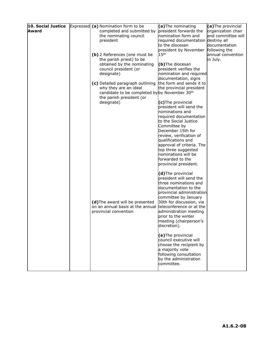| 10. Social Justice | Expressed (a) Nomination form to be           | (a) The nominating                 | (a) The provincial |
|--------------------|-----------------------------------------------|------------------------------------|--------------------|
| Award              | completed and submitted by                    | president forwards the             | organization chair |
|                    | the nominating council                        | nomination form and                | and committee will |
|                    | president                                     | required documentation destroy all |                    |
|                    |                                               | to the diocesan                    | documentation      |
|                    |                                               | president by November              | following the      |
|                    | (b) 2 References (one must be                 | 15 <sup>th</sup>                   | annual convention  |
|                    | the parish priest) to be                      |                                    | in July.           |
|                    | obtained by the nominating                    | (b)The diocesan                    |                    |
|                    | council president (or                         | president verifies the             |                    |
|                    | designate)                                    | nomination and required            |                    |
|                    |                                               | documentation, signs               |                    |
|                    | (c) Detailed paragraph outlining              | the form and sends it to           |                    |
|                    | why they are an ideal                         | the provincial president           |                    |
|                    | candidate to be completed by by November 30th |                                    |                    |
|                    | the parish president (or                      |                                    |                    |
|                    | designate)                                    | (c)The provincial                  |                    |
|                    |                                               | president will send the            |                    |
|                    |                                               |                                    |                    |
|                    |                                               | nominations and                    |                    |
|                    |                                               | required documentation             |                    |
|                    |                                               | to the Social Justice              |                    |
|                    |                                               | Committee by                       |                    |
|                    |                                               | December 15th for                  |                    |
|                    |                                               | review, verification of            |                    |
|                    |                                               | qualifications and                 |                    |
|                    |                                               | approval of criteria. The          |                    |
|                    |                                               | top three suggested                |                    |
|                    |                                               | nominations will be                |                    |
|                    |                                               | forwarded to the                   |                    |
|                    |                                               | provincial president.              |                    |
|                    |                                               |                                    |                    |
|                    |                                               | (d)The provincial                  |                    |
|                    |                                               | president will send the            |                    |
|                    |                                               | three nominations and              |                    |
|                    |                                               | documentation to the               |                    |
|                    |                                               | provincial administration          |                    |
|                    |                                               | committee by January               |                    |
|                    | (d) The award will be presented               | 30th for discussion, via           |                    |
|                    | on an annual basis at the annual              | teleconference or at the           |                    |
|                    | provincial convention                         |                                    |                    |
|                    |                                               | administration meeting             |                    |
|                    |                                               | prior to the winter                |                    |
|                    |                                               | meeting (chairperson's             |                    |
|                    |                                               | discretion).                       |                    |
|                    |                                               |                                    |                    |
|                    |                                               | (e)The provincial                  |                    |
|                    |                                               | council executive will             |                    |
|                    |                                               | choose the recipient by            |                    |
|                    |                                               | a majority vote                    |                    |
|                    |                                               | following consultation             |                    |
|                    |                                               | by the administration              |                    |
|                    |                                               | committee.                         |                    |
|                    |                                               |                                    |                    |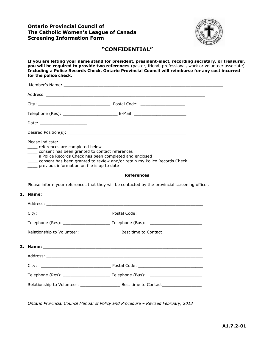#### <span id="page-50-0"></span>**Ontario Provincial Council of The Catholic Women's League of Canada Screening Information Form**



#### **"CONFIDENTIAL"**

**If you are letting your name stand for president, president-elect, recording secretary, or treasurer, you will be required to provide two references** (pastor, friend, professional, work or volunteer associate) **Including a Police Records Check. Ontario Provincial Council will reimburse for any cost incurred for the police check.**

| Please indicate:<br>____ references are completed below<br>consent has been granted to contact references<br>previous information on file is up to date | ____ a Police Records Check has been completed and enclosed<br>consent has been granted to review and/or retain my Police Records Check |
|---------------------------------------------------------------------------------------------------------------------------------------------------------|-----------------------------------------------------------------------------------------------------------------------------------------|
|                                                                                                                                                         |                                                                                                                                         |
|                                                                                                                                                         | <b>References</b>                                                                                                                       |
|                                                                                                                                                         | Please inform your references that they will be contacted by the provincial screening officer.                                          |
|                                                                                                                                                         |                                                                                                                                         |
|                                                                                                                                                         |                                                                                                                                         |
|                                                                                                                                                         |                                                                                                                                         |
|                                                                                                                                                         |                                                                                                                                         |
|                                                                                                                                                         |                                                                                                                                         |
|                                                                                                                                                         |                                                                                                                                         |
|                                                                                                                                                         |                                                                                                                                         |
|                                                                                                                                                         |                                                                                                                                         |
|                                                                                                                                                         |                                                                                                                                         |

*Ontario Provincial Council Manual of Policy and Procedure – Revised February, 2013*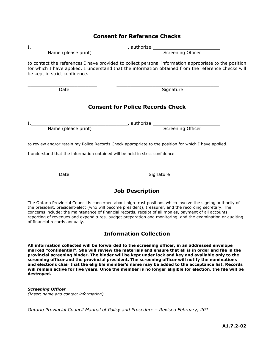|                                                                               | <b>Consent for Reference Checks</b>                                                                                                                                                                          |
|-------------------------------------------------------------------------------|--------------------------------------------------------------------------------------------------------------------------------------------------------------------------------------------------------------|
|                                                                               |                                                                                                                                                                                                              |
|                                                                               |                                                                                                                                                                                                              |
| be kept in strict confidence.                                                 | to contact the references I have provided to collect personal information appropriate to the position<br>for which I have applied. I understand that the information obtained from the reference checks will |
| Date                                                                          | <u>Signature</u>                                                                                                                                                                                             |
|                                                                               | <b>Consent for Police Records Check</b>                                                                                                                                                                      |
|                                                                               | I, Name (please print) (authorize Screening Officer                                                                                                                                                          |
|                                                                               |                                                                                                                                                                                                              |
|                                                                               | to review and/or retain my Police Records Check appropriate to the position for which I have applied.                                                                                                        |
| I understand that the information obtained will be held in strict confidence. |                                                                                                                                                                                                              |
| Date                                                                          | Signature                                                                                                                                                                                                    |
|                                                                               | <b>Job Description</b>                                                                                                                                                                                       |
|                                                                               |                                                                                                                                                                                                              |

The Ontario Provincial Council is concerned about high trust positions which involve the signing authority of the president, president-elect (who will become president), treasurer, and the recording secretary. The concerns include: the maintenance of financial records, receipt of all monies, payment of all accounts, reporting of revenues and expenditures, budget preparation and monitoring, and the examination or auditing of financial records annually.

### **Information Collection**

**All information collected will be forwarded to the screening officer, in an addressed envelope marked "confidential". She will review the materials and ensure that all is in order and file in the provincial screening binder. The binder will be kept under lock and key and available only to the screening officer and the provincial president. The screening officer will notify the nominations and elections chair that the eligible member's name may be added to the acceptance list. Records will remain active for five years. Once the member is no longer eligible for election, the file will be destroyed.**

#### *Screening Officer*

*(Insert name and contact information).*

*Ontario Provincial Council Manual of Policy and Procedure – Revised February, 201*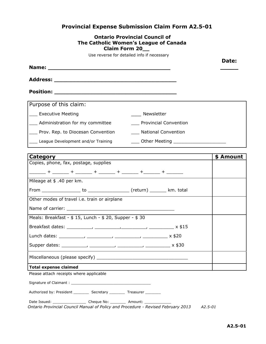## <span id="page-52-0"></span>**Provincial Expense Submission Claim Form A2.5-01**

| <b>Ontario Provincial Council of</b><br>The Catholic Women's League of Canada<br><b>Claim Form 20</b> |           |
|-------------------------------------------------------------------------------------------------------|-----------|
| Use reverse for detailed info if necessary                                                            |           |
|                                                                                                       | Date:     |
|                                                                                                       |           |
|                                                                                                       |           |
|                                                                                                       |           |
| Purpose of this claim:                                                                                |           |
| ___ Executive Meeting<br>Newsletter                                                                   |           |
| ___ Administration for my committee<br>___ Provincial Convention                                      |           |
| ___ Prov. Rep. to Diocesan Convention ________ National Convention                                    |           |
| League Development and/or Training<br>____ Other Meeting _______________________                      |           |
| ,我们也不会有什么。""我们的人,我们也不会有什么?""我们的人,我们也不会有什么?""我们的人,我们也不会有什么?""我们的人,我们也不会有什么?""我们的人                      |           |
| Category                                                                                              | \$ Amount |
| Copies, phone, fax, postage, supplies<br>______+ _____+ _____+ _____+ _____+ _____+ _____+            |           |
| Mileage at \$ .40 per km.                                                                             |           |
|                                                                                                       |           |
| Other modes of travel i.e. train or airplane                                                          |           |
|                                                                                                       |           |
| Meals: Breakfast - \$ 15, Lunch - \$ 20, Supper - \$ 30                                               |           |
| Breakfast dates: _<br>x \$15                                                                          |           |
|                                                                                                       |           |
|                                                                                                       |           |
|                                                                                                       |           |
| <b>Total expense claimed</b>                                                                          |           |
| Please attach receipts where applicable                                                               |           |
|                                                                                                       |           |
| Authorized by: President ___________ Secretary __________ Treasurer __________                        |           |
| Date Issued: __________________________ Cheque No: ___________ Amount: _______________                |           |

*Ontario Provincial Council Manual of Policy and Procedure - Revised February 2013 A2.5-01*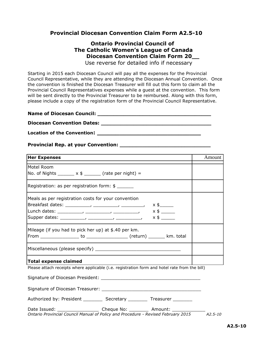#### **Provincial Diocesan Convention Claim Form A2.5-10**

## <span id="page-53-0"></span>**Ontario Provincial Council of The Catholic Women's League of Canada Diocesan Convention Claim Form 20\_\_**

Use reverse for detailed info if necessary

Starting in 2015 each Diocesan Council will pay all the expenses for the Provincial Council Representative, while they are attending the Diocesan Annual Convention. Once the convention is finished the Diocesan Treasurer will fill out this form to claim all the Provincial Council Representatives expenses while a guest at the convention. This form will be sent directly to the Provincial Treasurer to be reimbursed. Along with this form, please include a copy of the registration form of the Provincial Council Representative.

| <b>Name of Diocesan Council:</b>  |  |
|-----------------------------------|--|
| <b>Diocesan Convention Dates:</b> |  |

**Location of the Convention: \_\_\_\_\_\_\_\_\_\_\_\_\_\_\_\_\_\_\_\_\_\_\_\_\_\_\_\_**

#### **Provincial Rep. at your Convention: \_\_\_\_\_\_\_\_\_\_\_\_\_\_\_\_\_\_\_\_\_\_\_\_\_\_\_\_**

| <b>Her Expenses</b>                                                                                                                                                           | Amount |
|-------------------------------------------------------------------------------------------------------------------------------------------------------------------------------|--------|
| Motel Room<br>No. of Nights _______ $x \notin$ _______ (rate per night) =                                                                                                     |        |
| Registration: as per registration form: \$                                                                                                                                    |        |
| Meals as per registration costs for your convention<br>$x$ \$                                                                                                                 |        |
| Mileage (if you had to pick her up) at \$.40 per km.                                                                                                                          |        |
|                                                                                                                                                                               |        |
| <b>Total expense claimed</b>                                                                                                                                                  |        |
| Please attach receipts where applicable (i.e. registration form and hotel rate from the bill)                                                                                 |        |
|                                                                                                                                                                               |        |
|                                                                                                                                                                               |        |
|                                                                                                                                                                               |        |
| Date Issued: ________________________ Cheque No: ___________ Amount: ___________<br>Ontario Provincial Council Manual of Policy and Procedure - Revised February 2015 A2.5-10 |        |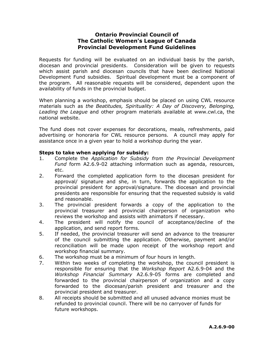#### <span id="page-54-0"></span>**Ontario Provincial Council of The Catholic Women's League of Canada Provincial Development Fund Guidelines**

Requests for funding will be evaluated on an individual basis by the parish, diocesan and provincial presidents. Consideration will be given to requests which assist parish and diocesan councils that have been declined National Development Fund subsidies. Spiritual development must be a component of the program. All reasonable requests will be considered, dependent upon the availability of funds in the provincial budget.

When planning a workshop, emphasis should be placed on using CWL resource materials such as *the Beatitudes, Spirituality: A Day of Discovery, Belonging, Leading the League* and other program materials available at www.cwl.ca, the national website.

The fund does not cover expenses for decorations, meals, refreshments, paid advertising or honoraria for CWL resource persons. A council may apply for assistance once in a given year to hold a workshop during the year.

#### **Steps to take when applying for subsidy:**

- 1. Complete the *Application for Subsidy from the Provincial Development Fund* form A2.6.9-02 attaching information such as agenda, resources, etc.
- 2. Forward the completed application form to the diocesan president for approval/ signature and she, in turn, forwards the application to the provincial president for approval/signature. The diocesan and provincial presidents are responsible for ensuring that the requested subsidy is valid and reasonable.
- 3. The provincial president forwards a copy of the application to the provincial treasurer and provincial chairperson of organization who reviews the workshop and assists with animators if necessary.
- 4. The president will notify the council of acceptance/decline of the application, and send report forms.
- 5. If needed, the provincial treasurer will send an advance to the treasurer of the council submitting the application. Otherwise, payment and/or reconciliation will be made upon receipt of the workshop report and workshop financial summary.
- 6. The workshop must be a minimum of four hours in length.
- 7. Within two weeks of completing the workshop, the council president is responsible for ensuring that the *Workshop Report* A2.6.9-04 and the *Workshop Financial Summary* A2.6.9-05 forms are completed and forwarded to the provincial chairperson of organization and a copy forwarded to the diocesan/parish president and treasurer and the provincial president and treasurer.
- 8. All receipts should be submitted and all unused advance monies must be refunded to provincial council. There will be no carryover of funds for future workshops.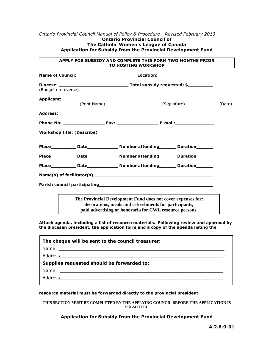#### *Ontario Provincial Council Manual of Policy & Procedure - Revised February 2013* **Ontario Provincial Council of The Catholic Women's League of Canada Application for Subsidy from the Provincial Development Fund**

#### **APPLY FOR SUBSIDY AND COMPLETE THIS FORM TWO MONTHS PRIOR TO HOSTING WORKSHOP**

| (Budget on reverse) |                                   |                                                                                                                                                                                  |        |
|---------------------|-----------------------------------|----------------------------------------------------------------------------------------------------------------------------------------------------------------------------------|--------|
|                     | (Print Name)                      | (Signature)                                                                                                                                                                      | (Date) |
|                     |                                   |                                                                                                                                                                                  |        |
|                     |                                   |                                                                                                                                                                                  |        |
|                     | <b>Workshop title: (Describe)</b> |                                                                                                                                                                                  |        |
|                     |                                   |                                                                                                                                                                                  |        |
|                     |                                   | Place______________ Date__________________ Number attending__________ Duration________                                                                                           |        |
|                     |                                   |                                                                                                                                                                                  |        |
|                     |                                   |                                                                                                                                                                                  |        |
|                     |                                   |                                                                                                                                                                                  |        |
|                     |                                   | The Provincial Development Fund does not cover expenses for:<br>decorations, meals and refreshments for participants,<br>paid advertising or honoraria for CWL resource persons. |        |

**Attach agenda, including a list of resource materials. Following review and approval by the diocesan president, the application form and a copy of the agenda listing the** 

| The cheque will be sent to the council treasurer: |
|---------------------------------------------------|
|                                                   |
|                                                   |
| Supplies requested should be forwarded to:        |
|                                                   |
| Address                                           |
|                                                   |

#### **resource material must be forwarded directly to the provincial president**

**THIS SECTION MUST BE COMPLETED BY THE APPLYING COUNCIL BEFORE THE APPLICATION IS SUBMITTED** 

#### **Application for Subsidy from the Provincial Development Fund**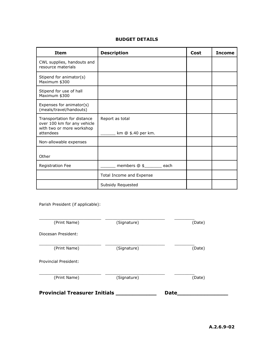#### **BUDGET DETAILS**

| Item                                                                                                 | <b>Description</b>                    | Cost | <b>Income</b> |
|------------------------------------------------------------------------------------------------------|---------------------------------------|------|---------------|
| CWL supplies, handouts and<br>resource materials                                                     |                                       |      |               |
| Stipend for animator(s)<br>Maximum \$300                                                             |                                       |      |               |
| Stipend for use of hall<br>Maximum \$300                                                             |                                       |      |               |
| Expenses for animator(s)<br>(meals/travel/handouts)                                                  |                                       |      |               |
| Transportation for distance<br>over 100 km for any vehicle<br>with two or more workshop<br>attendees | Report as total<br>km @ \$.40 per km. |      |               |
| Non-allowable expenses                                                                               |                                       |      |               |
| Other                                                                                                |                                       |      |               |
| Registration Fee                                                                                     | members @ \$______ each               |      |               |
|                                                                                                      | Total Income and Expense              |      |               |
|                                                                                                      | Subsidy Requested                     |      |               |

Parish President (if applicable):

| (Print Name)                         | (Signature) | (Date)      |
|--------------------------------------|-------------|-------------|
| Diocesan President:                  |             |             |
| (Print Name)                         | (Signature) | (Date)      |
| <b>Provincial President:</b>         |             |             |
| (Print Name)                         | (Signature) | (Date)      |
| <b>Provincial Treasurer Initials</b> |             | <b>Date</b> |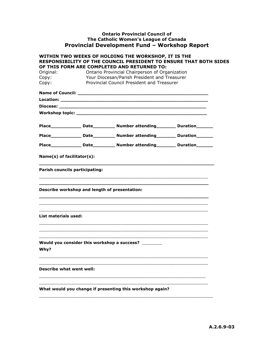#### <span id="page-57-0"></span>**Ontario Provincial Council of The Catholic Women's League of Canada Provincial Development Fund – Workshop Report**

|                                 |                                               | WITHIN TWO WEEKS OF HOLDING THE WORKSHOP, IT IS THE<br><b>RESPONSIBILITY OF THE COUNCIL PRESIDENT TO ENSURE THAT BOTH SIDES</b> |  |
|---------------------------------|-----------------------------------------------|---------------------------------------------------------------------------------------------------------------------------------|--|
|                                 |                                               | OF THIS FORM ARE COMPLETED AND RETURNED TO:                                                                                     |  |
| Original:                       |                                               | Ontario Provincial Chairperson of Organization                                                                                  |  |
| Copy:                           |                                               | Your Diocesan/Parish President and Treasurer                                                                                    |  |
| Copy:                           |                                               | Provincial Council President and Treasurer                                                                                      |  |
|                                 |                                               |                                                                                                                                 |  |
|                                 |                                               |                                                                                                                                 |  |
|                                 |                                               |                                                                                                                                 |  |
|                                 |                                               |                                                                                                                                 |  |
|                                 |                                               |                                                                                                                                 |  |
|                                 |                                               |                                                                                                                                 |  |
|                                 |                                               |                                                                                                                                 |  |
| Name(s) of facilitator(s):      |                                               |                                                                                                                                 |  |
|                                 | Parish councils participating:                |                                                                                                                                 |  |
|                                 | Describe workshop and length of presentation: |                                                                                                                                 |  |
| List materials used:            |                                               | <u> 1989 - Johann Harry Harry Harry Harry Harry Harry Harry Harry Harry Harry Harry Harry Harry Harry Harry Harry</u>           |  |
| Why?                            |                                               | Would you consider this workshop a success? _______                                                                             |  |
| <b>Describe what went well:</b> |                                               |                                                                                                                                 |  |
|                                 |                                               | What would you change if presenting this workshop again?                                                                        |  |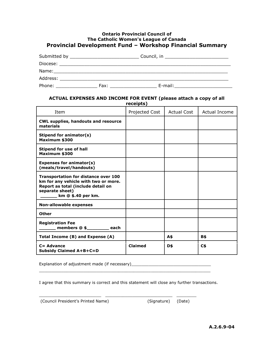#### <span id="page-58-0"></span>**Ontario Provincial Council of The Catholic Women's League of Canada Provincial Development Fund – Workshop Financial Summary**

|          | Submitted by __________________________ | Council, in _________________ |  |
|----------|-----------------------------------------|-------------------------------|--|
| Diocese: |                                         |                               |  |
| Name:    |                                         |                               |  |
| Address: |                                         |                               |  |
| Phone:   | Fax:                                    | E-mail:                       |  |

#### **ACTUAL EXPENSES AND INCOME FOR EVENT (please attach a copy of all receipts)**

| Item                                                                                                                                                               | Projected Cost | <b>Actual Cost</b> | Actual Income  |
|--------------------------------------------------------------------------------------------------------------------------------------------------------------------|----------------|--------------------|----------------|
| <b>CWL supplies, handouts and resource</b><br>materials                                                                                                            |                |                    |                |
| Stipend for animator(s)<br>Maximum \$300                                                                                                                           |                |                    |                |
| <b>Stipend for use of hall</b><br>Maximum \$300                                                                                                                    |                |                    |                |
| <b>Expenses for animator(s)</b><br>(meals/travel/handouts)                                                                                                         |                |                    |                |
| <b>Transportation for distance over 100</b><br>km for any vehicle with two or more.<br>Report as total (include detail on<br>separate sheet)<br>km @ \$.40 per km. |                |                    |                |
| <b>Non-allowable expenses</b>                                                                                                                                      |                |                    |                |
| Other                                                                                                                                                              |                |                    |                |
| <b>Registration Fee</b><br>members $@$ \$<br>each                                                                                                                  |                |                    |                |
| Total Income (B) and Expense (A)                                                                                                                                   |                | A\$                | B\$            |
| $C =$ Advance<br><b>Subsidy Claimed A+B+C=D</b>                                                                                                                    | <b>Claimed</b> | D\$                | C <sub>5</sub> |

Explanation of adjustment made (if necessary)\_\_\_\_\_\_\_\_\_\_\_\_\_\_\_\_\_\_\_\_\_\_\_\_\_\_\_\_\_\_\_\_\_\_\_

I agree that this summary is correct and this statement will close any further transactions.

 $\Box$ 

\_\_\_\_\_\_\_\_\_\_\_\_\_\_\_\_\_\_\_\_\_\_\_\_\_ \_\_\_\_\_\_\_\_\_\_\_\_\_\_\_\_\_\_\_\_\_\_\_\_\_\_\_ \_\_\_\_\_\_\_\_

| (Council President's Printed Name) |  |
|------------------------------------|--|
|------------------------------------|--|

(Signature) (Date)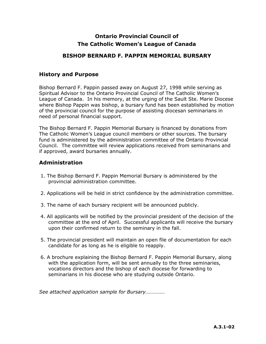### **Ontario Provincial Council of The Catholic Women's League of Canada**

#### **BISHOP BERNARD F. PAPPIN MEMORIAL BURSARY**

#### <span id="page-59-0"></span>**History and Purpose**

Bishop Bernard F. Pappin passed away on August 27, 1998 while serving as Spiritual Advisor to the Ontario Provincial Council of The Catholic Women's League of Canada. In his memory, at the urging of the Sault Ste. Marie Diocese where Bishop Pappin was bishop, a bursary fund has been established by motion of the provincial council for the purpose of assisting diocesan seminarians in need of personal financial support.

The Bishop Bernard F. Pappin Memorial Bursary is financed by donations from The Catholic Women's League council members or other sources. The bursary fund is administered by the administration committee of the Ontario Provincial Council. The committee will review applications received from seminarians and if approved, award bursaries annually.

#### **Administration**

- 1. The Bishop Bernard F. Pappin Memorial Bursary is administered by the provincial administration committee.
- 2. Applications will be held in strict confidence by the administration committee.
- 3. The name of each bursary recipient will be announced publicly.
- 4. All applicants will be notified by the provincial president of the decision of the committee at the end of April. Successful applicants will receive the bursary upon their confirmed return to the seminary in the fall.
- 5. The provincial president will maintain an open file of documentation for each candidate for as long as he is eligible to reapply.
- 6. A brochure explaining the Bishop Bernard F. Pappin Memorial Bursary, along with the application form, will be sent annually to the three seminaries, vocations directors and the bishop of each diocese for forwarding to seminarians in his diocese who are studying outside Ontario.

*See attached application sample for Bursary……………*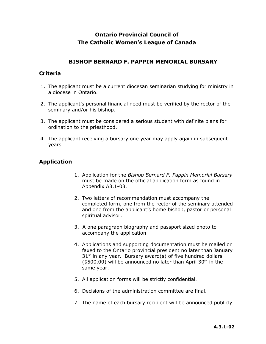## **Ontario Provincial Council of The Catholic Women's League of Canada**

#### **BISHOP BERNARD F. PAPPIN MEMORIAL BURSARY**

#### **Criteria**

- 1. The applicant must be a current diocesan seminarian studying for ministry in a diocese in Ontario.
- 2. The applicant's personal financial need must be verified by the rector of the seminary and/or his bishop.
- 3. The applicant must be considered a serious student with definite plans for ordination to the priesthood.
- 4. The applicant receiving a bursary one year may apply again in subsequent years.

### **Application**

- 1. Application for the *Bishop Bernard F. Pappin Memorial Bursary* must be made on the official application form as found in Appendix A3.1-03.
- 2. Two letters of recommendation must accompany the completed form, one from the rector of the seminary attended and one from the applicant's home bishop, pastor or personal spiritual advisor.
- 3. A one paragraph biography and passport sized photo to accompany the application
- 4. Applications and supporting documentation must be mailed or faxed to the Ontario provincial president no later than January  $31<sup>st</sup>$  in any year. Bursary award(s) of five hundred dollars ( $$500.00$ ) will be announced no later than April 30<sup>th</sup> in the same year.
- 5. All application forms will be strictly confidential.
- 6. Decisions of the administration committee are final.
- 7. The name of each bursary recipient will be announced publicly.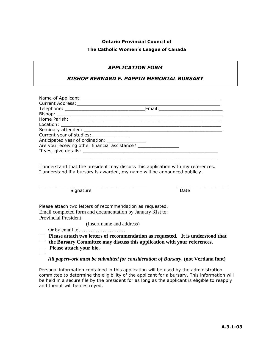#### **Ontario Provincial Council of**

#### **The Catholic Women's League of Canada**

#### *APPLICATION FORM*

#### *BISHOP BERNARD F. PAPPIN MEMORIAL BURSARY*

| Current year of studies: _______________                                         |  |
|----------------------------------------------------------------------------------|--|
| Anticipated year of ordination: _________________                                |  |
| Are you receiving other financial assistance? __________________________________ |  |
|                                                                                  |  |
|                                                                                  |  |

I understand that the president may discuss this application with my references. I understand if a bursary is awarded, my name will be announced publicly.

 $\Box$  . The contribution of the contribution of  $\Box$  . The contribution of  $\Box$  . The contribution of  $\Box$  . The contribution of  $\Box$ 

Signature Date Date

Please attach two letters of recommendation as requested. Email completed form and documentation by January 31st to: Provincial President

(Insert name and address)

Or by email to………………………

**Please attach two letters of recommendation as requested. It is understood that** 

**the Bursary Committee may discuss this application with your references**. **Please attach your bio.** 

#### *All paperwork must be submitted for consideration of Bursary***. (not Verdana font)**

Personal information contained in this application will be used by the administration committee to determine the eligibility of the applicant for a bursary. This information will be held in a secure file by the president for as long as the applicant is eligible to reapply and then it will be destroyed.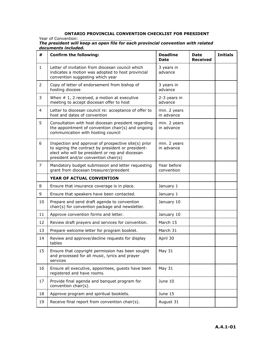#### <span id="page-62-0"></span>**ONTARIO PROVINCIAL CONVENTION CHECKLIST FOR PRESIDENT**

Year of Convention:

| The president will keep an open file for each provincial convention with related |  |  |
|----------------------------------------------------------------------------------|--|--|
| documents included.                                                              |  |  |

| #              | <b>Confirm the following:</b>                                                                                                                                                                         | <b>Deadline</b><br><b>Date</b> | Date<br><b>Received</b> | <b>Initials</b> |
|----------------|-------------------------------------------------------------------------------------------------------------------------------------------------------------------------------------------------------|--------------------------------|-------------------------|-----------------|
| $\mathbf{1}$   | Letter of invitation from diocesan council which<br>indicates a motion was adopted to host provincial<br>convention suggesting which year                                                             | 3 years in<br>advance          |                         |                 |
| $\overline{2}$ | Copy of letter of endorsement from bishop of<br>hosting diocese                                                                                                                                       | 3 years in<br>advance          |                         |                 |
| 3              | When $# 1$ , 2 received, a motion at executive<br>meeting to accept diocesan offer to host                                                                                                            | 2-3 years in<br>advance        |                         |                 |
| 4              | Letter to diocesan council re: acceptance of offer to<br>host and dates of convention                                                                                                                 | min. 2 years<br>in advance     |                         |                 |
| 5              | Consultation with host diocesan president regarding<br>the appointment of convention chair(s) and ongoing<br>communication with hosting council                                                       | min. 2 years<br>in advance     |                         |                 |
| 6              | Inspection and approval of prospective site(s) prior<br>to signing the contract by president or president-<br>elect who will be president or rep and diocesan<br>president and/or convention chair(s) | min. 2 years<br>in advance     |                         |                 |
| 7              | Mandatory budget submission and letter requesting<br>grant from diocesan treasurer/president                                                                                                          | Year before<br>convention      |                         |                 |
|                | YEAR OF ACTUAL CONVENTION                                                                                                                                                                             |                                |                         |                 |
| 8              | Ensure that insurance coverage is in place.                                                                                                                                                           | January 1                      |                         |                 |
| 9              | Ensure that speakers have been contacted.                                                                                                                                                             | January 1                      |                         |                 |
| 10             | Prepare and send draft agenda to convention<br>chair(s) for convention package and newsletter.                                                                                                        | January 10                     |                         |                 |
| 11             | Approve convention forms and letter.                                                                                                                                                                  | January 10                     |                         |                 |
| 12             | Review draft prayers and services for convention.                                                                                                                                                     | March 15                       |                         |                 |
| 13             | Prepare welcome letter for program booklet.                                                                                                                                                           | March 31                       |                         |                 |
| 14             | Review and approve/decline requests for display<br>tables                                                                                                                                             | April 30                       |                         |                 |
| 15             | Ensure that copyright permission has been sought<br>and processed for all music, lyrics and prayer<br>services                                                                                        | <b>May 31</b>                  |                         |                 |
| 16             | Ensure all executive, appointees, guests have been<br>registered and have rooms.                                                                                                                      | <b>May 31</b>                  |                         |                 |
| 17             | Provide final agenda and banquet program for<br>convention chair(s).                                                                                                                                  | June 10                        |                         |                 |
| 18             | Approve program and spiritual booklets.                                                                                                                                                               | June 15                        |                         |                 |
| 19             | Receive final report from convention chair(s).                                                                                                                                                        | August 31                      |                         |                 |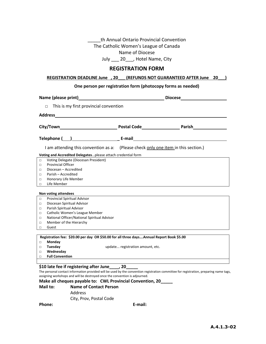th Annual Ontario Provincial Convention The Catholic Women's League of Canada Name of Diocese

July \_\_\_ 20\_\_\_, Hotel Name, City

#### **REGISTRATION FORM**

#### <span id="page-63-0"></span>**REGISTRATION DEADLINE June , 20\_\_\_ (REFUNDS NOT GUARANTEED AFTER June 20\_\_\_)**

#### **One person per registration form (photocopy forms as needed)**

| Name (please print)                                                                      | <u> 1980 - Johann Barn, mars ann an t-Amhain Aonaich an t-Aonaich an t-Aonaich ann an t-Aonaich ann an t-Aonaich</u> |                                                                                                                                        |  |
|------------------------------------------------------------------------------------------|----------------------------------------------------------------------------------------------------------------------|----------------------------------------------------------------------------------------------------------------------------------------|--|
| This is my first provincial convention<br>$\Box$                                         |                                                                                                                      |                                                                                                                                        |  |
|                                                                                          |                                                                                                                      |                                                                                                                                        |  |
| <b>Address</b>                                                                           |                                                                                                                      |                                                                                                                                        |  |
|                                                                                          |                                                                                                                      |                                                                                                                                        |  |
|                                                                                          |                                                                                                                      |                                                                                                                                        |  |
| I am attending this convention as a: (Please check only one item in this section.)       |                                                                                                                      |                                                                                                                                        |  |
| Voting and Accredited Delegatesplease attach credential form                             |                                                                                                                      |                                                                                                                                        |  |
| Voting Delegate (Diocesan President)<br>$\Box$                                           |                                                                                                                      |                                                                                                                                        |  |
| <b>Provincial Officer</b><br>$\Box$                                                      |                                                                                                                      |                                                                                                                                        |  |
| Diocesan - Accredited<br>$\Box$                                                          |                                                                                                                      |                                                                                                                                        |  |
| Parish - Accredited<br>$\Box$                                                            |                                                                                                                      |                                                                                                                                        |  |
| Honorary Life Member<br>$\Box$                                                           |                                                                                                                      |                                                                                                                                        |  |
| Life Member<br>$\Box$                                                                    |                                                                                                                      |                                                                                                                                        |  |
| Non voting attendees                                                                     |                                                                                                                      |                                                                                                                                        |  |
| Provincial Spiritual Advisor<br>$\Box$                                                   |                                                                                                                      |                                                                                                                                        |  |
| Diocesan Spiritual Advisor<br>□                                                          |                                                                                                                      |                                                                                                                                        |  |
| Parish Spiritual Advisor<br>$\Box$                                                       |                                                                                                                      |                                                                                                                                        |  |
| Catholic Women's League Member<br>$\Box$                                                 |                                                                                                                      |                                                                                                                                        |  |
| National Officer/National Spiritual Advisor<br>$\Box$                                    |                                                                                                                      |                                                                                                                                        |  |
| Member of the Hierarchy<br>$\Box$                                                        |                                                                                                                      |                                                                                                                                        |  |
| Guest<br>$\Box$                                                                          |                                                                                                                      |                                                                                                                                        |  |
|                                                                                          |                                                                                                                      |                                                                                                                                        |  |
| Registration fee: \$20.00 per day OR \$50.00 for all three daysAnnual Report Book \$5.00 |                                                                                                                      |                                                                                                                                        |  |
| Monday<br>П.                                                                             |                                                                                                                      |                                                                                                                                        |  |
| Tuesday<br>$\Box$                                                                        | update registration amount, etc.                                                                                     |                                                                                                                                        |  |
| Wednesday<br>$\Box$<br><b>Full Convention</b><br>П                                       |                                                                                                                      |                                                                                                                                        |  |
|                                                                                          |                                                                                                                      |                                                                                                                                        |  |
| \$10 late fee if registering after June , 20                                             |                                                                                                                      |                                                                                                                                        |  |
|                                                                                          |                                                                                                                      | The personal contact information provided will be used by the convention registration committee for registration, preparing name tags, |  |
| assigning workshops and will be destroyed once the convention is adjourned.              |                                                                                                                      |                                                                                                                                        |  |
| Make all cheques payable to: CWL Provincial Convention, 20                               |                                                                                                                      |                                                                                                                                        |  |

**Mail to: Name of Contact Person** Address City, Prov, Postal Code

**Phone: E-mail:**

<span id="page-63-1"></span>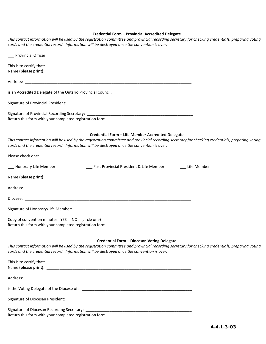#### **Credential Form – Provincial Accredited Delegate**

| This contact information will be used by the registration committee and provincial recording secretary for checking credentials, preparing voting<br>cards and the credential record. Information will be destroyed once the convention is over.                                                      |
|-------------------------------------------------------------------------------------------------------------------------------------------------------------------------------------------------------------------------------------------------------------------------------------------------------|
| Provincial Officer                                                                                                                                                                                                                                                                                    |
| This is to certify that:                                                                                                                                                                                                                                                                              |
|                                                                                                                                                                                                                                                                                                       |
| is an Accredited Delegate of the Ontario Provincial Council.                                                                                                                                                                                                                                          |
|                                                                                                                                                                                                                                                                                                       |
| Return this form with your completed registration form.                                                                                                                                                                                                                                               |
| Credential Form - Life Member Accredited Delegate<br>This contact information will be used by the registration committee and provincial recording secretary for checking credentials, preparing voting<br>cards and the credential record. Information will be destroyed once the convention is over. |
| Please check one:                                                                                                                                                                                                                                                                                     |
| ___ Past Provincial President & Life Member _________ Life Member<br>___ Honorary Life Member                                                                                                                                                                                                         |
|                                                                                                                                                                                                                                                                                                       |
|                                                                                                                                                                                                                                                                                                       |
|                                                                                                                                                                                                                                                                                                       |
|                                                                                                                                                                                                                                                                                                       |
|                                                                                                                                                                                                                                                                                                       |
| Copy of convention minutes: YES NO (circle one)<br>Return this form with your completed registration form.                                                                                                                                                                                            |
| Credential Form - Diocesan Voting Delegate                                                                                                                                                                                                                                                            |
| This contact information will be used by the registration committee and provincial recording secretary for checking credentials, preparing voting<br>cards and the credential record. Information will be destroyed once the convention is over.                                                      |
| This is to certify that:                                                                                                                                                                                                                                                                              |

is the Voting Delegate of the Diocese of: \_\_\_\_\_\_\_\_\_\_\_\_\_\_\_\_\_\_\_\_\_\_\_\_\_\_\_\_\_\_\_\_\_\_\_\_\_\_\_\_\_\_\_\_\_\_\_\_\_\_\_

Signature of Diocesan President: \_\_\_\_\_\_\_\_\_\_\_\_\_\_\_\_\_\_\_\_\_\_\_\_\_\_\_\_\_\_\_\_\_\_\_\_\_\_\_\_\_\_\_\_\_\_\_\_\_\_\_\_\_\_\_\_\_

Signature of Diocesan Recording Secretary: \_\_\_\_\_\_\_\_\_\_\_\_\_\_\_\_\_\_\_\_\_\_\_\_\_\_\_\_\_\_\_\_\_\_\_\_\_\_\_\_\_\_\_\_\_\_\_\_\_ Return this form with your completed registration form.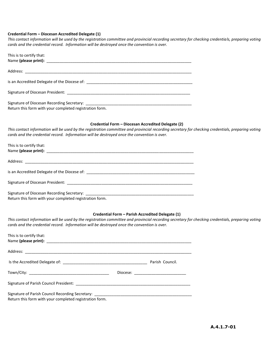#### **Credential Form – Diocesan Accredited Delegate (1)**

*This contact information will be used by the registration committee and provincial recording secretary for checking credentials, preparing voting cards and the credential record. Information will be destroyed once the convention is over.*

| This is to certify that:                                |
|---------------------------------------------------------|
|                                                         |
|                                                         |
|                                                         |
| Return this form with your completed registration form. |

#### **Credential Form – Diocesan Accredited Delegate (2)**

This contact information will be used by the registration committee and provincial recording secretary for checking credentials, preparing voting *cards and the credential record. Information will be destroyed once the convention is over.*

| This is to certify that:                                |
|---------------------------------------------------------|
|                                                         |
|                                                         |
|                                                         |
| Return this form with your completed registration form. |

#### **Credential Form – Parish Accredited Delegate (1)**

*This contact information will be used by the registration committee and provincial recording secretary for checking credentials, preparing voting cards and the credential record. Information will be destroyed once the convention is over.*

| This is to certify that:                                |                                       |
|---------------------------------------------------------|---------------------------------------|
|                                                         |                                       |
|                                                         |                                       |
|                                                         | Diocese: ____________________________ |
|                                                         |                                       |
| Return this form with your completed registration form. |                                       |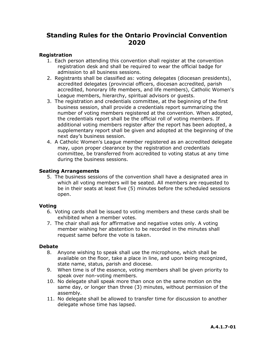## **Standing Rules for the Ontario Provincial Convention 2020**

#### **Registration**

- 1. Each person attending this convention shall register at the convention registration desk and shall be required to wear the official badge for admission to all business sessions.
- 2. Registrants shall be classified as: voting delegates (diocesan presidents), accredited delegates (provincial officers, diocesan accredited, parish accredited, honorary life members, and life members), Catholic Women's League members, hierarchy, spiritual advisors or guests.
- 3. The registration and credentials committee, at the beginning of the first business session, shall provide a credentials report summarizing the number of voting members registered at the convention. When adopted, the credentials report shall be the official roll of voting members. If additional voting members register after the report has been adopted, a supplementary report shall be given and adopted at the beginning of the next day's business session.
- 4. A Catholic Women's League member registered as an accredited delegate may, upon proper clearance by the registration and credentials committee, be transferred from accredited to voting status at any time during the business sessions.

#### **Seating Arrangements**

5. The business sessions of the convention shall have a designated area in which all voting members will be seated. All members are requested to be in their seats at least five (5) minutes before the scheduled sessions open.

#### **Voting**

- 6. Voting cards shall be issued to voting members and these cards shall be exhibited when a member votes.
- 7. The chair shall ask for affirmative and negative votes only. A voting member wishing her abstention to be recorded in the minutes shall request same before the vote is taken.

#### **Debate**

- 8. Anyone wishing to speak shall use the microphone, which shall be available on the floor, take a place in line, and upon being recognized, state name, status, parish and diocese.
- 9. When time is of the essence, voting members shall be given priority to speak over non-voting members.
- 10. No delegate shall speak more than once on the same motion on the same day, or longer than three (3) minutes, without permission of the assembly.
- 11. No delegate shall be allowed to transfer time for discussion to another delegate whose time has lapsed.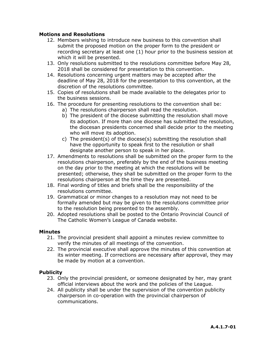#### **Motions and Resolutions**

- 12. Members wishing to introduce new business to this convention shall submit the proposed motion on the proper form to the president or recording secretary at least one (1) hour prior to the business session at which it will be presented.
- 13. Only resolutions submitted to the resolutions committee before May 28, 2018 shall be considered for presentation to this convention.
- 14. Resolutions concerning urgent matters may be accepted after the deadline of May 28, 2018 for the presentation to this convention, at the discretion of the resolutions committee.
- 15. Copies of resolutions shall be made available to the delegates prior to the business sessions.
- 16. The procedure for presenting resolutions to the convention shall be:
	- a) The resolutions chairperson shall read the resolution.
	- b) The president of the diocese submitting the resolution shall move its adoption. If more than one diocese has submitted the resolution, the diocesan presidents concerned shall decide prior to the meeting who will move its adoption.
	- c) The president(s) of the diocese(s) submitting the resolution shall have the opportunity to speak first to the resolution or shall designate another person to speak in her place.
- 17. Amendments to resolutions shall be submitted on the proper form to the resolutions chairperson, preferably by the end of the business meeting on the day prior to the meeting at which the resolutions will be presented; otherwise, they shall be submitted on the proper form to the resolutions chairperson at the time they are presented.
- 18. Final wording of titles and briefs shall be the responsibility of the resolutions committee.
- 19. Grammatical or minor changes to a resolution may not need to be formally amended but may be given to the resolutions committee prior to the resolution being presented to the assembly.
- 20. Adopted resolutions shall be posted to the Ontario Provincial Council of The Catholic Women's League of Canada website.

#### **Minutes**

- 21. The provincial president shall appoint a minutes review committee to verify the minutes of all meetings of the convention.
- 22. The provincial executive shall approve the minutes of this convention at its winter meeting. If corrections are necessary after approval, they may be made by motion at a convention.

#### **Publicity**

- 23. Only the provincial president, or someone designated by her, may grant official interviews about the work and the policies of the League.
- 24. All publicity shall be under the supervision of the convention publicity chairperson in co-operation with the provincial chairperson of communications.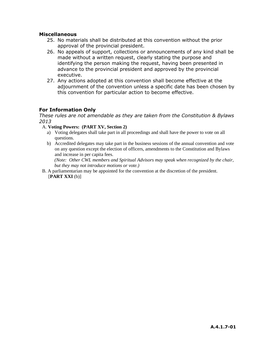#### **Miscellaneous**

- 25. No materials shall be distributed at this convention without the prior approval of the provincial president.
- 26. No appeals of support, collections or announcements of any kind shall be made without a written request, clearly stating the purpose and identifying the person making the request, having been presented in advance to the provincial president and approved by the provincial executive.
- 27. Any actions adopted at this convention shall become effective at the adjournment of the convention unless a specific date has been chosen by this convention for particular action to become effective.

#### **For Information Only**

*These rules are not amendable as they are taken from the Constitution & Bylaws 2013*

- A. **Voting Powers: (PART XV, Section 2)**
	- a) Voting delegates shall take part in all proceedings and shall have the power to vote on all questions.
	- b) Accredited delegates may take part in the business sessions of the annual convention and vote on any question except the election of officers, amendments to the Constitution and Bylaws and increase in per capita fees.

*(Note: Other CWL members and Spiritual Advisors may speak when recognized by the chair, but they may not introduce motions or vote.)*

B. A parliamentarian may be appointed for the convention at the discretion of the president. [**PART XXI** (b)]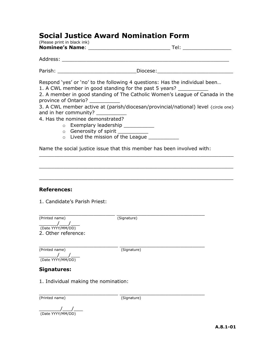## **Social Justice Award Nomination Form**

| (Please print in black ink)                                                                                                                                  |                                                                                                                                                                                                                                                                                                                                                              |
|--------------------------------------------------------------------------------------------------------------------------------------------------------------|--------------------------------------------------------------------------------------------------------------------------------------------------------------------------------------------------------------------------------------------------------------------------------------------------------------------------------------------------------------|
|                                                                                                                                                              |                                                                                                                                                                                                                                                                                                                                                              |
|                                                                                                                                                              |                                                                                                                                                                                                                                                                                                                                                              |
|                                                                                                                                                              |                                                                                                                                                                                                                                                                                                                                                              |
| province of Ontario?<br>and in her community? ___________<br>4. Has the nominee demonstrated?<br>o Exemplary leadership<br>○ Generosity of spirit __________ | Respond 'yes' or 'no' to the following 4 questions: Has the individual been<br>1. A CWL member in good standing for the past 5 years?<br>2. A member in good standing of The Catholic Women's League of Canada in the<br>3. A CWL member active at (parish/diocesan/provincial/national) level {circle one}<br>o Lived the mission of the League ___________ |
|                                                                                                                                                              | Name the social justice issue that this member has been involved with:                                                                                                                                                                                                                                                                                       |
|                                                                                                                                                              |                                                                                                                                                                                                                                                                                                                                                              |
| <b>References:</b><br>1. Candidate's Parish Priest:                                                                                                          |                                                                                                                                                                                                                                                                                                                                                              |
| (Printed name)<br>$\frac{1}{2}$<br>(Date YYYY/MM/DD)<br>2. Other reference:                                                                                  | $\overline{\text{(Signature)}}$                                                                                                                                                                                                                                                                                                                              |
| (Printed name)                                                                                                                                               | (Signature)                                                                                                                                                                                                                                                                                                                                                  |

 $\frac{1}{2}$ (Date YYYY/MM/DD)

## **Signatures:**

1. Individual making the nomination:

\_\_\_\_\_\_\_\_\_\_\_\_\_\_\_\_\_\_\_\_\_\_\_\_\_\_ \_\_\_\_\_\_\_\_\_\_\_\_\_\_\_\_\_\_\_\_\_\_\_\_\_\_\_\_ (Printed name) (Signature)

 $\overline{\phantom{a}}$   $\overline{\phantom{a}}$   $\overline{\phantom{a}}$   $\overline{\phantom{a}}$   $\overline{\phantom{a}}$   $\overline{\phantom{a}}$   $\overline{\phantom{a}}$   $\overline{\phantom{a}}$   $\overline{\phantom{a}}$   $\overline{\phantom{a}}$   $\overline{\phantom{a}}$   $\overline{\phantom{a}}$   $\overline{\phantom{a}}$   $\overline{\phantom{a}}$   $\overline{\phantom{a}}$   $\overline{\phantom{a}}$   $\overline{\phantom{a}}$   $\overline{\phantom{a}}$   $\overline{\$ (Date YYYY/MM/DD)